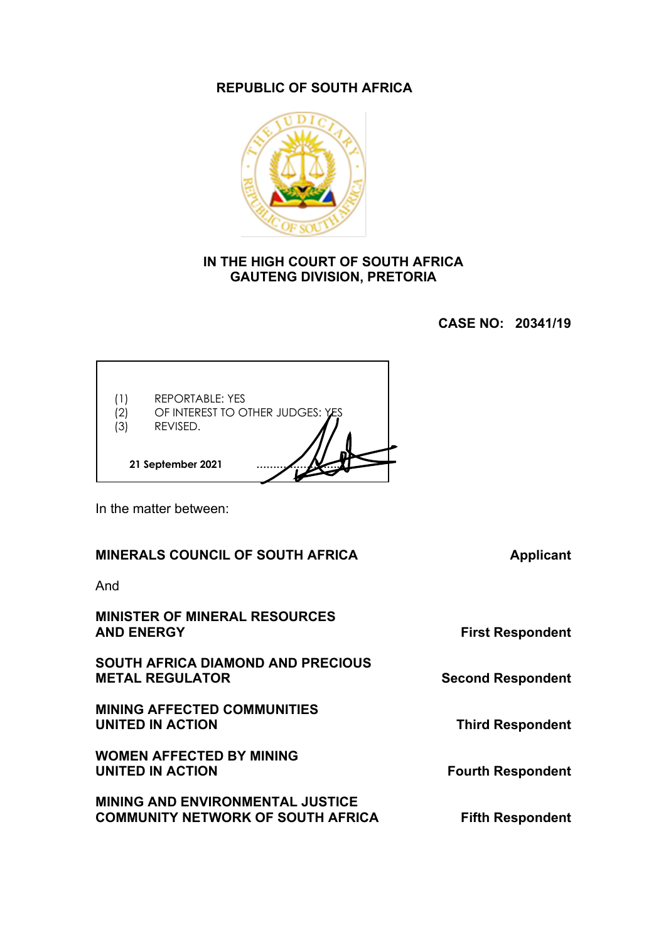# **REPUBLIC OF SOUTH AFRICA**



#### **IN THE HIGH COURT OF SOUTH AFRICA GAUTENG DIVISION, PRETORIA**

**CASE NO: 20341/19**

| (3) | <b>REPORTABLE: YES</b><br>OF INTEREST TO OTHER JUDGES: YES<br>REVISED. |  |
|-----|------------------------------------------------------------------------|--|
|     | 21 September 2021                                                      |  |

In the matter between:

### **MINERALS COUNCIL OF SOUTH AFRICA Applicant**

And

**MINISTER OF MINERAL RESOURCES AND ENERGY First Respondent**

**SOUTH AFRICA DIAMOND AND PRECIOUS METAL REGULATOR Second Respondent** 

**MINING AFFECTED COMMUNITIES UNITED IN ACTION Third Respondent** 

**WOMEN AFFECTED BY MINING UNITED IN ACTION CONTROLLER THE SEXUAL FOURTH RESpondent** 

**MINING AND ENVIRONMENTAL JUSTICE COMMUNITY NETWORK OF SOUTH AFRICA Fifth Respondent**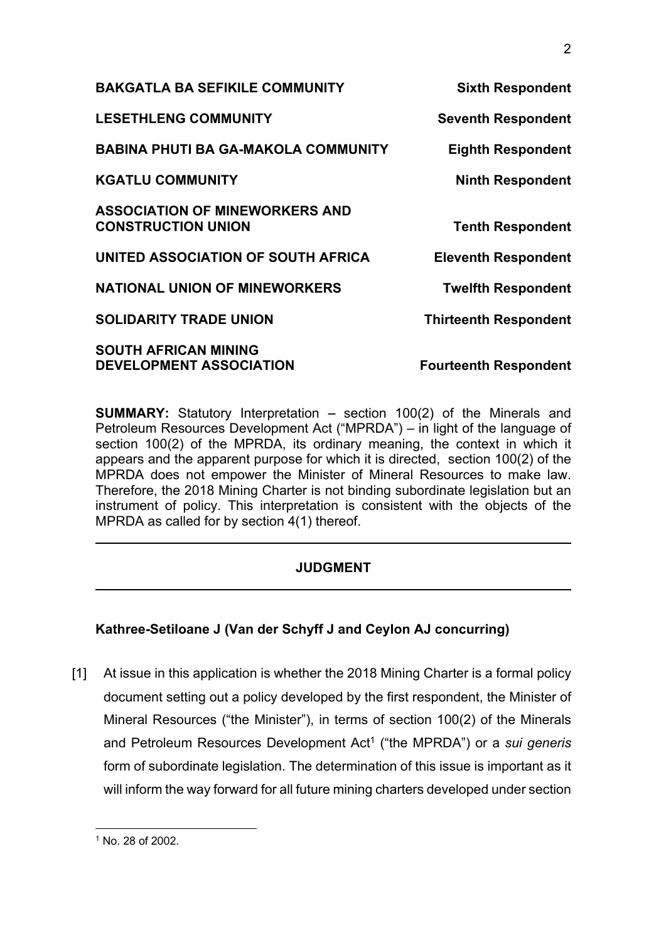| <b>BAKGATLA BA SEFIKILE COMMUNITY</b>                              | <b>Sixth Respondent</b>      |
|--------------------------------------------------------------------|------------------------------|
| <b>LESETHLENG COMMUNITY</b>                                        | <b>Seventh Respondent</b>    |
| <b>BABINA PHUTI BA GA-MAKOLA COMMUNITY</b>                         | <b>Eighth Respondent</b>     |
| <b>KGATLU COMMUNITY</b>                                            | <b>Ninth Respondent</b>      |
| <b>ASSOCIATION OF MINEWORKERS AND</b><br><b>CONSTRUCTION UNION</b> | <b>Tenth Respondent</b>      |
| UNITED ASSOCIATION OF SOUTH AFRICA                                 | <b>Eleventh Respondent</b>   |
| <b>NATIONAL UNION OF MINEWORKERS</b>                               | <b>Twelfth Respondent</b>    |
| <b>SOLIDARITY TRADE UNION</b>                                      | <b>Thirteenth Respondent</b> |
| <b>SOUTH AFRICAN MINING</b><br><b>DEVELOPMENT ASSOCIATION</b>      | <b>Fourteenth Respondent</b> |

**SUMMARY:** Statutory Interpretation – section 100(2) of the Minerals and Petroleum Resources Development Act ("MPRDA") – in light of the language of section 100(2) of the MPRDA, its ordinary meaning, the context in which it appears and the apparent purpose for which it is directed, section 100(2) of the MPRDA does not empower the Minister of Mineral Resources to make law. Therefore, the 2018 Mining Charter is not binding subordinate legislation but an instrument of policy. This interpretation is consistent with the objects of the MPRDA as called for by section 4(1) thereof.

# **JUDGMENT**

# **Kathree-Setiloane J (Van der Schyff J and Ceylon AJ concurring)**

[1] At issue in this application is whether the 2018 Mining Charter is a formal policy document setting out a policy developed by the first respondent, the Minister of Mineral Resources ("the Minister"), in terms of section 100(2) of the Minerals and Petroleum Resources Development Act<sup>1</sup> ("the MPRDA") or a *sui generis* form of subordinate legislation. The determination of this issue is important as it will inform the way forward for all future mining charters developed under section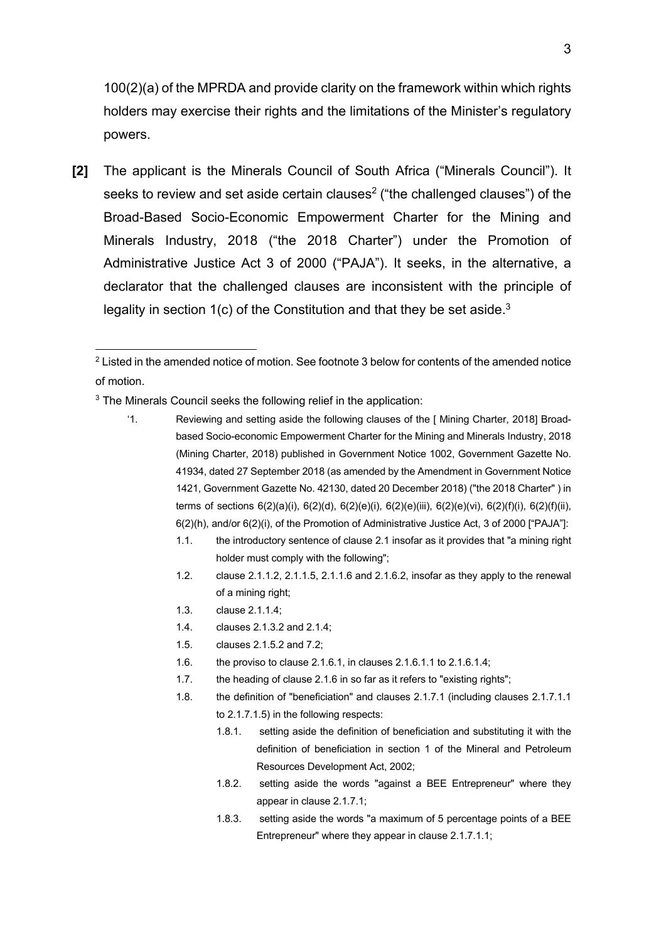100(2)(a) of the MPRDA and provide clarity on the framework within which rights holders may exercise their rights and the limitations of the Minister's regulatory powers.

**[2]** The applicant is the Minerals Council of South Africa ("Minerals Council"). It seeks to review and set aside certain clauses<sup>2</sup> ("the challenged clauses") of the Broad-Based Socio-Economic Empowerment Charter for the Mining and Minerals Industry, 2018 ("the 2018 Charter") under the Promotion of Administrative Justice Act 3 of 2000 ("PAJA"). It seeks, in the alternative, a declarator that the challenged clauses are inconsistent with the principle of legality in section  $1(c)$  of the Constitution and that they be set aside.<sup>3</sup>

<sup>3</sup> The Minerals Council seeks the following relief in the application:

'1. Reviewing and setting aside the following clauses of the [ Mining Charter, 2018] Broadbased Socio-economic Empowerment Charter for the Mining and Minerals Industry, 2018 (Mining Charter, 2018) published in Government Notice 1002, Government Gazette No. 41934, dated 27 September 2018 (as amended by the Amendment in Government Notice 1421, Government Gazette No. 42130, dated 20 December 2018) ("the 2018 Charter" ) in terms of sections  $6(2)(a)(i)$ ,  $6(2)(d)$ ,  $6(2)(e)(i)$ ,  $6(2)(e)(ii)$ ,  $6(2)(e)(vi)$ ,  $6(2)(f)(ii)$ ,  $6(2)(f)(ii)$ , 6(2)(h), and/or 6(2)(i), of the Promotion of Administrative Justice Act, 3 of 2000 ["PAJA"]:

- 1.1. the introductory sentence of clause 2.1 insofar as it provides that "a mining right holder must comply with the following";
- 1.2. clause 2.1.1.2, 2.1.1.5, 2.1.1.6 and 2.1.6.2, insofar as they apply to the renewal of a mining right;
- 1.3. clause 2.1.1.4;
- 1.4. clauses 2.1.3.2 and 2.1.4;
- 1.5. clauses 2.1.5.2 and 7.2;
- 1.6. the proviso to clause 2.1.6.1, in clauses 2.1.6.1.1 to 2.1.6.1.4;
- 1.7. the heading of clause 2.1.6 in so far as it refers to "existing rights";
- 1.8. the definition of "beneficiation" and clauses 2.1.7.1 (including clauses 2.1.7.1.1 to 2.1.7.1.5) in the following respects:
	- 1.8.1. setting aside the definition of beneficiation and substituting it with the definition of beneficiation in section 1 of the Mineral and Petroleum Resources Development Act, 2002;
	- 1.8.2. setting aside the words "against a BEE Entrepreneur" where they appear in clause 2.1.7.1;
	- 1.8.3. setting aside the words "a maximum of 5 percentage points of a BEE Entrepreneur" where they appear in clause 2.1.7.1.1;

 $2$  Listed in the amended notice of motion. See footnote 3 below for contents of the amended notice of motion.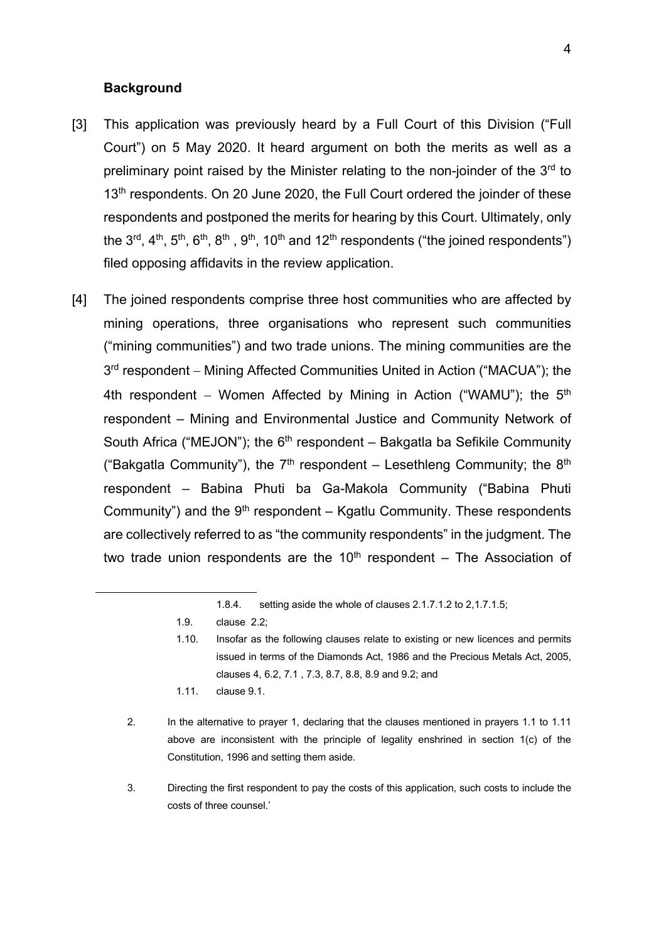#### **Background**

- [3] This application was previously heard by a Full Court of this Division ("Full Court") on 5 May 2020. It heard argument on both the merits as well as a preliminary point raised by the Minister relating to the non-joinder of the  $3<sup>rd</sup>$  to 13<sup>th</sup> respondents. On 20 June 2020, the Full Court ordered the joinder of these respondents and postponed the merits for hearing by this Court. Ultimately, only the  $3^{rd}$ ,  $4^{th}$ ,  $5^{th}$ ,  $6^{th}$ ,  $8^{th}$ ,  $9^{th}$ ,  $10^{th}$  and  $12^{th}$  respondents ("the joined respondents") filed opposing affidavits in the review application.
- [4] The joined respondents comprise three host communities who are affected by mining operations, three organisations who represent such communities ("mining communities") and two trade unions. The mining communities are the 3<sup>rd</sup> respondent – Mining Affected Communities United in Action ("MACUA"); the 4th respondent – Women Affected by Mining in Action ("WAMU"); the  $5<sup>th</sup>$ respondent – Mining and Environmental Justice and Community Network of South Africa ("MEJON"); the  $6<sup>th</sup>$  respondent – Bakgatla ba Sefikile Community ("Bakgatla Community"), the  $7<sup>th</sup>$  respondent – Lesethleng Community; the  $8<sup>th</sup>$ respondent – Babina Phuti ba Ga-Makola Community ("Babina Phuti Community") and the  $9<sup>th</sup>$  respondent – Kgatlu Community. These respondents are collectively referred to as "the community respondents" in the judgment. The two trade union respondents are the  $10<sup>th</sup>$  respondent – The Association of

- 1.11. clause 9.1.
- 2. In the alternative to prayer 1, declaring that the clauses mentioned in prayers 1.1 to 1.11 above are inconsistent with the principle of legality enshrined in section 1(c) of the Constitution, 1996 and setting them aside.
- 3. Directing the first respondent to pay the costs of this application, such costs to include the costs of three counsel.'

<sup>1.8.4.</sup> setting aside the whole of clauses 2.1.7.1.2 to 2,1.7.1.5;

<sup>1.9.</sup> clause 2.2;

<sup>1.10.</sup> Insofar as the following clauses relate to existing or new licences and permits issued in terms of the Diamonds Act, 1986 and the Precious Metals Act, 2005, clauses 4, 6.2, 7.1 , 7.3, 8.7, 8.8, 8.9 and 9.2; and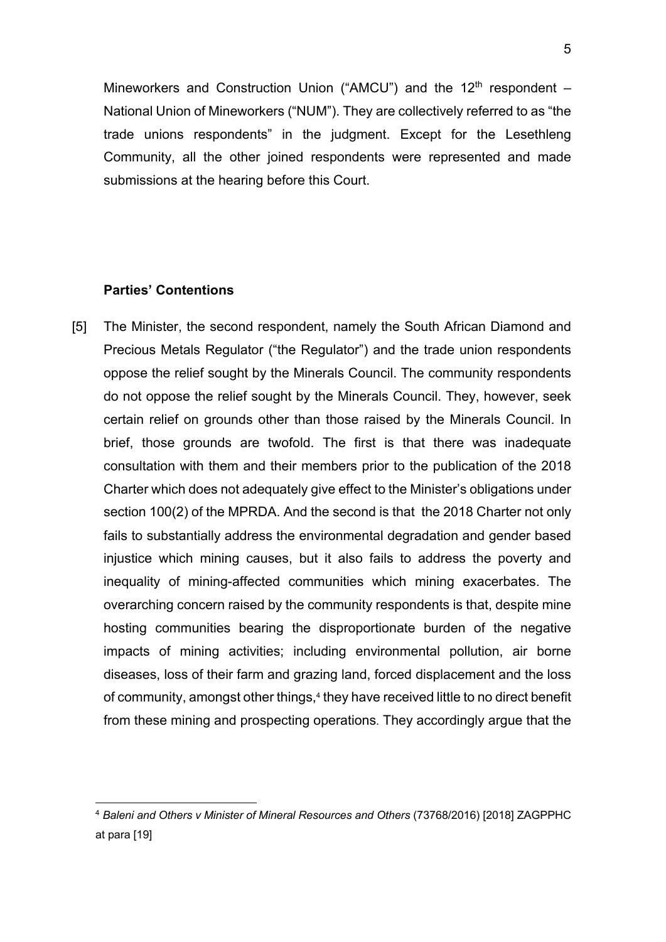Mineworkers and Construction Union ("AMCU") and the  $12<sup>th</sup>$  respondent – National Union of Mineworkers ("NUM"). They are collectively referred to as "the trade unions respondents" in the judgment. Except for the Lesethleng Community, all the other joined respondents were represented and made submissions at the hearing before this Court.

## **Parties' Contentions**

[5] The Minister, the second respondent, namely the South African Diamond and Precious Metals Regulator ("the Regulator") and the trade union respondents oppose the relief sought by the Minerals Council. The community respondents do not oppose the relief sought by the Minerals Council. They, however, seek certain relief on grounds other than those raised by the Minerals Council. In brief, those grounds are twofold. The first is that there was inadequate consultation with them and their members prior to the publication of the 2018 Charter which does not adequately give effect to the Minister's obligations under section 100(2) of the MPRDA. And the second is that the 2018 Charter not only fails to substantially address the environmental degradation and gender based injustice which mining causes, but it also fails to address the poverty and inequality of mining-affected communities which mining exacerbates. The overarching concern raised by the community respondents is that, despite mine hosting communities bearing the disproportionate burden of the negative impacts of mining activities; including environmental pollution, air borne diseases, loss of their farm and grazing land, forced displacement and the loss of community, amongst other things, <sup>4</sup> they have received little to no direct benefit from these mining and prospecting operations. They accordingly argue that the

<sup>4</sup> *Baleni and Others v Minister of Mineral Resources and Others* (73768/2016) [2018] ZAGPPHC at para [19]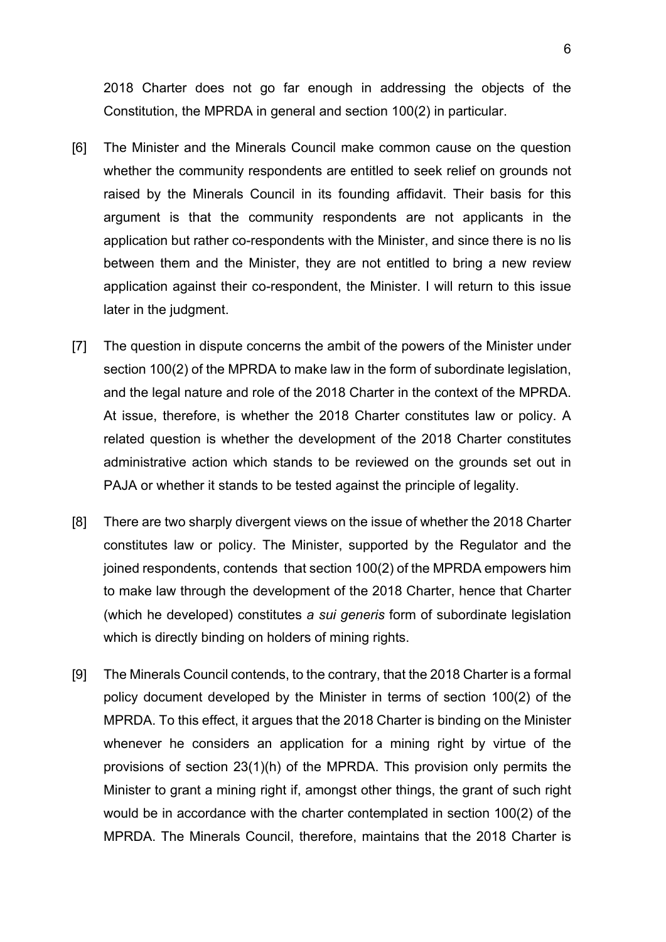2018 Charter does not go far enough in addressing the objects of the Constitution, the MPRDA in general and section 100(2) in particular.

- [6] The Minister and the Minerals Council make common cause on the question whether the community respondents are entitled to seek relief on grounds not raised by the Minerals Council in its founding affidavit. Their basis for this argument is that the community respondents are not applicants in the application but rather co-respondents with the Minister, and since there is no lis between them and the Minister, they are not entitled to bring a new review application against their co-respondent, the Minister. I will return to this issue later in the judgment.
- [7] The question in dispute concerns the ambit of the powers of the Minister under section 100(2) of the MPRDA to make law in the form of subordinate legislation, and the legal nature and role of the 2018 Charter in the context of the MPRDA. At issue, therefore, is whether the 2018 Charter constitutes law or policy. A related question is whether the development of the 2018 Charter constitutes administrative action which stands to be reviewed on the grounds set out in PAJA or whether it stands to be tested against the principle of legality.
- [8] There are two sharply divergent views on the issue of whether the 2018 Charter constitutes law or policy. The Minister, supported by the Regulator and the joined respondents, contends that section 100(2) of the MPRDA empowers him to make law through the development of the 2018 Charter, hence that Charter (which he developed) constitutes *a sui generis* form of subordinate legislation which is directly binding on holders of mining rights.
- [9] The Minerals Council contends, to the contrary, that the 2018 Charter is a formal policy document developed by the Minister in terms of section 100(2) of the MPRDA. To this effect, it argues that the 2018 Charter is binding on the Minister whenever he considers an application for a mining right by virtue of the provisions of section 23(1)(h) of the MPRDA. This provision only permits the Minister to grant a mining right if, amongst other things, the grant of such right would be in accordance with the charter contemplated in section 100(2) of the MPRDA. The Minerals Council, therefore, maintains that the 2018 Charter is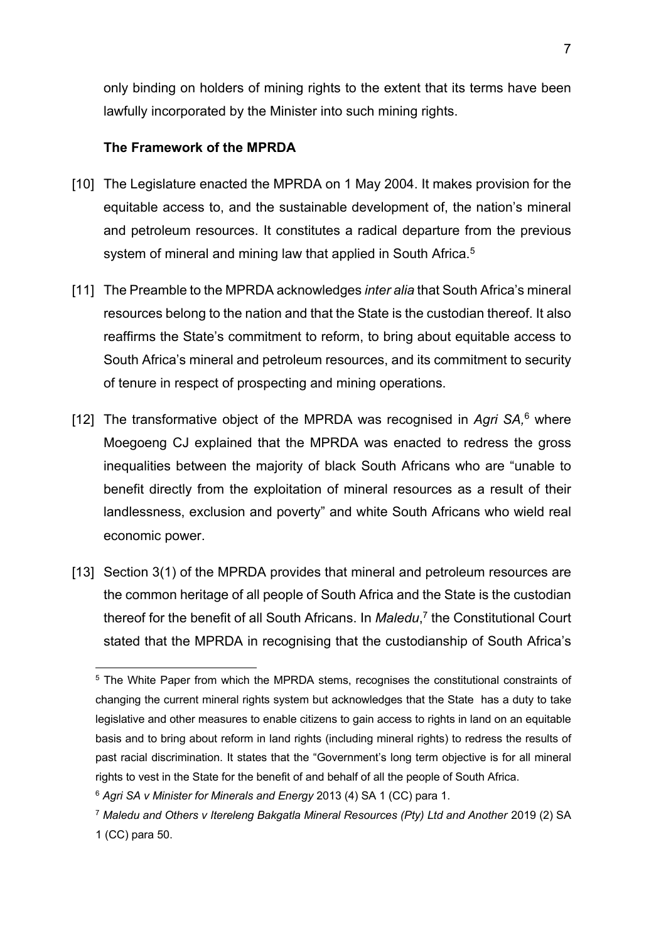only binding on holders of mining rights to the extent that its terms have been lawfully incorporated by the Minister into such mining rights.

#### **The Framework of the MPRDA**

- [10] The Legislature enacted the MPRDA on 1 May 2004. It makes provision for the equitable access to, and the sustainable development of, the nation's mineral and petroleum resources. It constitutes a radical departure from the previous system of mineral and mining law that applied in South Africa.<sup>5</sup>
- [11] The Preamble to the MPRDA acknowledges *inter alia* that South Africa's mineral resources belong to the nation and that the State is the custodian thereof. It also reaffirms the State's commitment to reform, to bring about equitable access to South Africa's mineral and petroleum resources, and its commitment to security of tenure in respect of prospecting and mining operations.
- [12] The transformative object of the MPRDA was recognised in *Agri SA,*<sup>6</sup> where Moegoeng CJ explained that the MPRDA was enacted to redress the gross inequalities between the majority of black South Africans who are "unable to benefit directly from the exploitation of mineral resources as a result of their landlessness, exclusion and poverty" and white South Africans who wield real economic power.
- [13] Section 3(1) of the MPRDA provides that mineral and petroleum resources are the common heritage of all people of South Africa and the State is the custodian thereof for the benefit of all South Africans. In *Maledu*, <sup>7</sup> the Constitutional Court stated that the MPRDA in recognising that the custodianship of South Africa's

<sup>&</sup>lt;sup>5</sup> The White Paper from which the MPRDA stems, recognises the constitutional constraints of changing the current mineral rights system but acknowledges that the State has a duty to take legislative and other measures to enable citizens to gain access to rights in land on an equitable basis and to bring about reform in land rights (including mineral rights) to redress the results of past racial discrimination. It states that the "Government's long term objective is for all mineral rights to vest in the State for the benefit of and behalf of all the people of South Africa.

<sup>6</sup> *Agri SA v Minister for Minerals and Energy* 2013 (4) SA 1 (CC) para 1.

<sup>7</sup> *Maledu and Others v Itereleng Bakgatla Mineral Resources (Pty) Ltd and Another* 2019 (2) SA 1 (CC) para 50.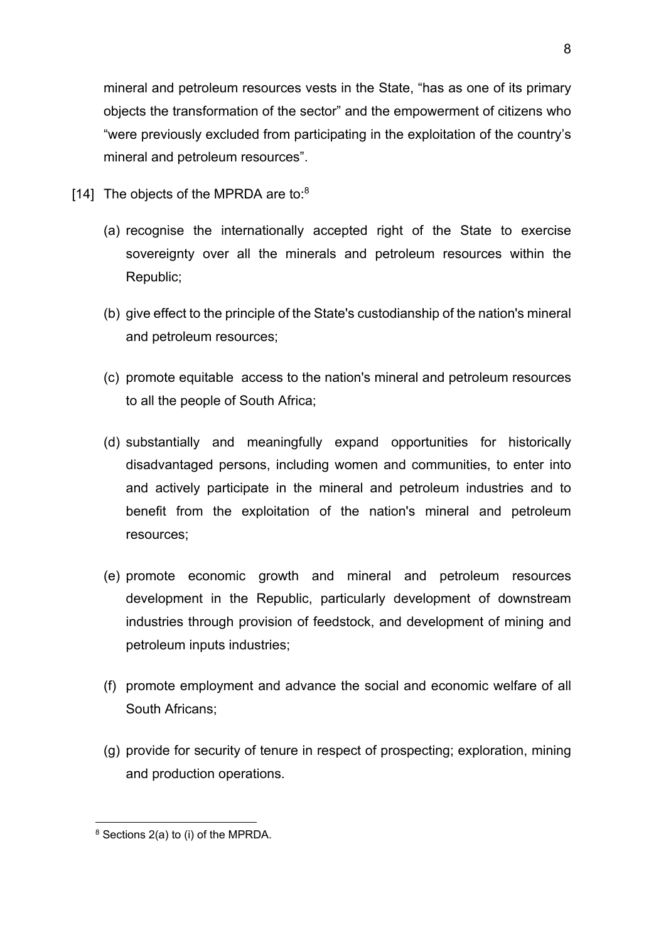mineral and petroleum resources vests in the State, "has as one of its primary objects the transformation of the sector" and the empowerment of citizens who "were previously excluded from participating in the exploitation of the country's mineral and petroleum resources".

- [14] The objects of the MPRDA are to: $8$ 
	- (a) recognise the internationally accepted right of the State to exercise sovereignty over all the minerals and petroleum resources within the Republic;
	- (b) give effect to the principle of the State's custodianship of the nation's mineral and petroleum resources;
	- (c) promote equitable access to the nation's mineral and petroleum resources to all the people of South Africa;
	- (d) substantially and meaningfully expand opportunities for historically disadvantaged persons, including women and communities, to enter into and actively participate in the mineral and petroleum industries and to benefit from the exploitation of the nation's mineral and petroleum resources;
	- (e) promote economic growth and mineral and petroleum resources development in the Republic, particularly development of downstream industries through provision of feedstock, and development of mining and petroleum inputs industries;
	- (f) promote employment and advance the social and economic welfare of all South Africans;
	- (g) provide for security of tenure in respect of prospecting; exploration, mining and production operations.

 $8$  Sections 2(a) to (i) of the MPRDA.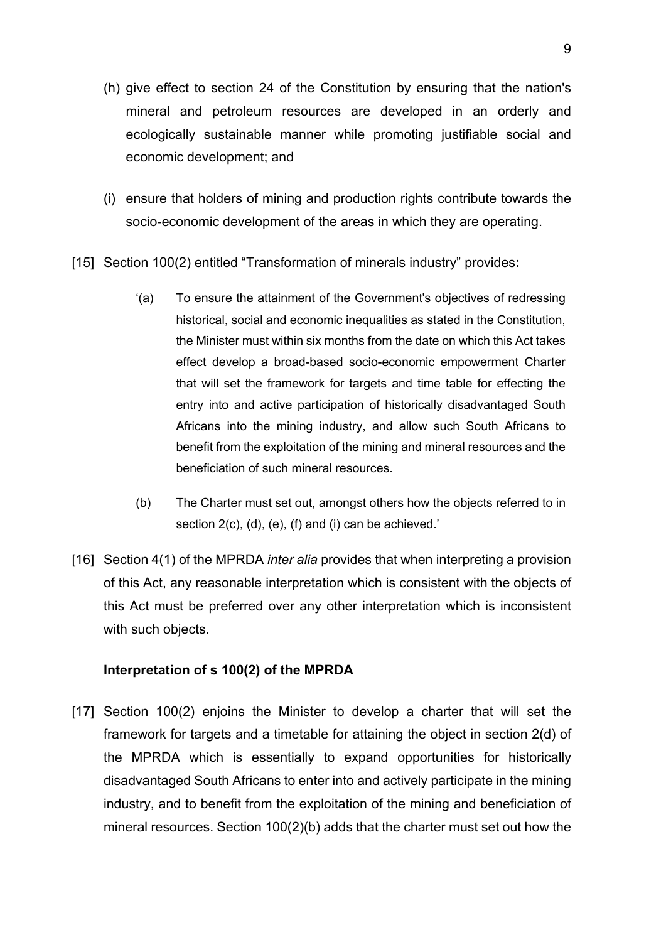- (h) give effect to section 24 of the Constitution by ensuring that the nation's mineral and petroleum resources are developed in an orderly and ecologically sustainable manner while promoting justifiable social and economic development; and
- (i) ensure that holders of mining and production rights contribute towards the socio-economic development of the areas in which they are operating.
- [15] Section 100(2) entitled "Transformation of minerals industry" provides**:**
	- '(a) To ensure the attainment of the Government's objectives of redressing historical, social and economic inequalities as stated in the Constitution, the Minister must within six months from the date on which this Act takes effect develop a broad-based socio-economic empowerment Charter that will set the framework for targets and time table for effecting the entry into and active participation of historically disadvantaged South Africans into the mining industry, and allow such South Africans to benefit from the exploitation of the mining and mineral resources and the beneficiation of such mineral resources.
	- (b) The Charter must set out, amongst others how the objects referred to in section 2(c), (d), (e), (f) and (i) can be achieved.'
- [16] Section 4(1) of the MPRDA *inter alia* provides that when interpreting a provision of this Act, any reasonable interpretation which is consistent with the objects of this Act must be preferred over any other interpretation which is inconsistent with such objects.

# **Interpretation of s 100(2) of the MPRDA**

[17] Section 100(2) enjoins the Minister to develop a charter that will set the framework for targets and a timetable for attaining the object in section 2(d) of the MPRDA which is essentially to expand opportunities for historically disadvantaged South Africans to enter into and actively participate in the mining industry, and to benefit from the exploitation of the mining and beneficiation of mineral resources. Section 100(2)(b) adds that the charter must set out how the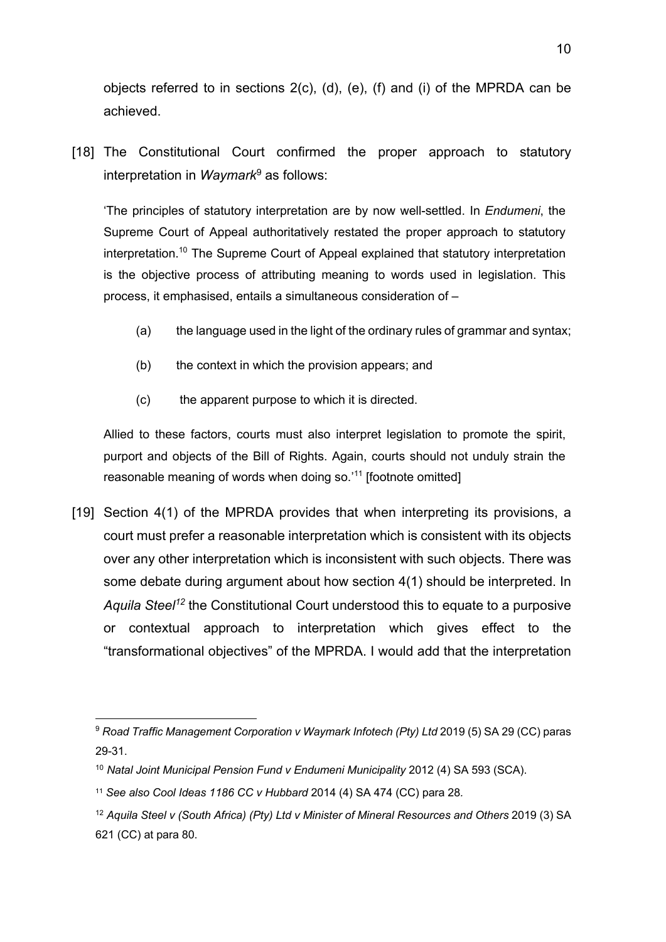objects referred to in sections 2(c), (d), (e), (f) and (i) of the MPRDA can be achieved.

[18] The Constitutional Court confirmed the proper approach to statutory interpretation in *Waymark*<sup>9</sup> as follows:

'The principles of statutory interpretation are by now well-settled. In *Endumeni*, the Supreme Court of Appeal authoritatively restated the proper approach to statutory interpretation.10 The Supreme Court of Appeal explained that statutory interpretation is the objective process of attributing meaning to words used in legislation. This process, it emphasised, entails a simultaneous consideration of –

- (a) the language used in the light of the ordinary rules of grammar and syntax;
- (b) the context in which the provision appears; and
- (c) the apparent purpose to which it is directed.

Allied to these factors, courts must also interpret legislation to promote the spirit, purport and objects of the Bill of Rights. Again, courts should not unduly strain the reasonable meaning of words when doing so.'<sup>11</sup> [footnote omitted]

[19] Section 4(1) of the MPRDA provides that when interpreting its provisions, a court must prefer a reasonable interpretation which is consistent with its objects over any other interpretation which is inconsistent with such objects. There was some debate during argument about how section 4(1) should be interpreted. In *Aquila Steel12* the Constitutional Court understood this to equate to a purposive or contextual approach to interpretation which gives effect to the "transformational objectives" of the MPRDA. I would add that the interpretation

<sup>&</sup>lt;sup>9</sup> Road Traffic Management Corporation v Waymark Infotech (Pty) Ltd 2019 (5) SA 29 (CC) paras 29-31.

<sup>10</sup> *Natal Joint Municipal Pension Fund v Endumeni Municipality* 2012 (4) SA 593 (SCA).

<sup>11</sup> *See also Cool Ideas 1186 CC v Hubbard* 2014 (4) SA 474 (CC) para 28*.*

<sup>&</sup>lt;sup>12</sup> Aquila Steel v (South Africa) (Pty) Ltd v Minister of Mineral Resources and Others 2019 (3) SA 621 (CC) at para 80.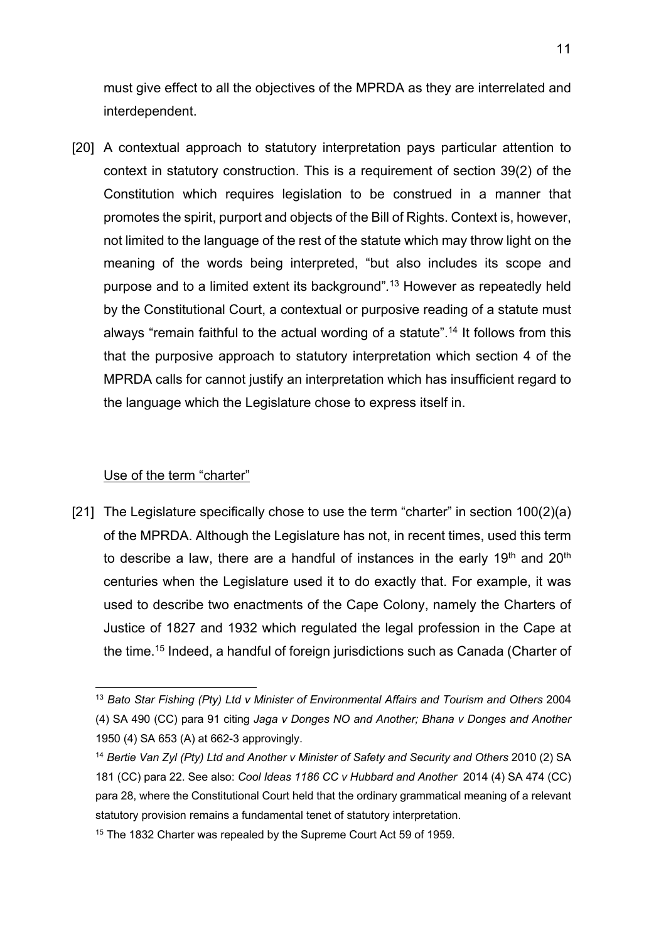must give effect to all the objectives of the MPRDA as they are interrelated and interdependent.

[20] A contextual approach to statutory interpretation pays particular attention to context in statutory construction. This is a requirement of section 39(2) of the Constitution which requires legislation to be construed in a manner that promotes the spirit, purport and objects of the Bill of Rights. Context is, however, not limited to the language of the rest of the statute which may throw light on the meaning of the words being interpreted, "but also includes its scope and purpose and to a limited extent its background"*.* <sup>13</sup> However as repeatedly held by the Constitutional Court, a contextual or purposive reading of a statute must always "remain faithful to the actual wording of a statute". <sup>14</sup> It follows from this that the purposive approach to statutory interpretation which section 4 of the MPRDA calls for cannot justify an interpretation which has insufficient regard to the language which the Legislature chose to express itself in.

### Use of the term "charter"

[21] The Legislature specifically chose to use the term "charter" in section 100(2)(a) of the MPRDA. Although the Legislature has not, in recent times, used this term to describe a law, there are a handful of instances in the early 19<sup>th</sup> and 20<sup>th</sup> centuries when the Legislature used it to do exactly that. For example, it was used to describe two enactments of the Cape Colony, namely the Charters of Justice of 1827 and 1932 which regulated the legal profession in the Cape at the time.15 Indeed, a handful of foreign jurisdictions such as Canada (Charter of

<sup>&</sup>lt;sup>13</sup> Bato Star Fishing (Pty) Ltd v Minister of Environmental Affairs and Tourism and Others 2004 (4) SA 490 (CC) para 91 citing *Jaga v Donges NO and Another; Bhana v Donges and Another* 1950 (4) SA 653 (A) at 662-3 approvingly.

<sup>&</sup>lt;sup>14</sup> Bertie Van Zyl (Pty) Ltd and Another v Minister of Safety and Security and Others 2010 (2) SA 181 (CC) para 22. See also: *Cool Ideas 1186 CC v Hubbard and Another* 2014 (4) SA 474 (CC) para 28, where the Constitutional Court held that the ordinary grammatical meaning of a relevant statutory provision remains a fundamental tenet of statutory interpretation.

<sup>&</sup>lt;sup>15</sup> The 1832 Charter was repealed by the Supreme Court Act 59 of 1959.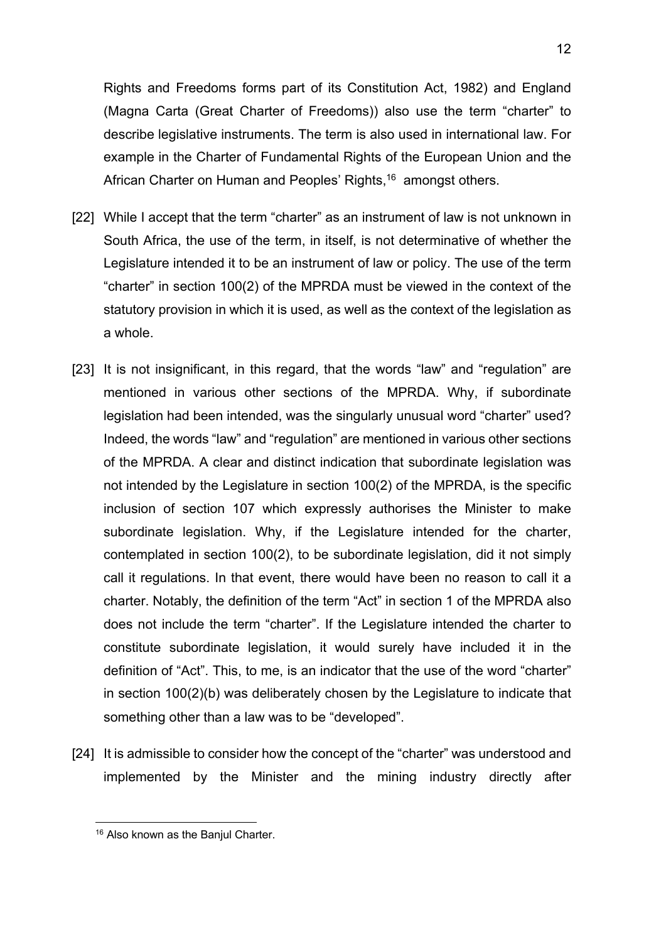Rights and Freedoms forms part of its Constitution Act, 1982) and England (Magna Carta (Great Charter of Freedoms)) also use the term "charter" to describe legislative instruments. The term is also used in international law. For example in the Charter of Fundamental Rights of the European Union and the African Charter on Human and Peoples' Rights, <sup>16</sup> amongst others.

- [22] While I accept that the term "charter" as an instrument of law is not unknown in South Africa, the use of the term, in itself, is not determinative of whether the Legislature intended it to be an instrument of law or policy. The use of the term "charter" in section 100(2) of the MPRDA must be viewed in the context of the statutory provision in which it is used, as well as the context of the legislation as a whole.
- [23] It is not insignificant, in this regard, that the words "law" and "regulation" are mentioned in various other sections of the MPRDA. Why, if subordinate legislation had been intended, was the singularly unusual word "charter" used? Indeed, the words "law" and "regulation" are mentioned in various other sections of the MPRDA. A clear and distinct indication that subordinate legislation was not intended by the Legislature in section 100(2) of the MPRDA, is the specific inclusion of section 107 which expressly authorises the Minister to make subordinate legislation. Why, if the Legislature intended for the charter, contemplated in section 100(2), to be subordinate legislation, did it not simply call it regulations. In that event, there would have been no reason to call it a charter. Notably, the definition of the term "Act" in section 1 of the MPRDA also does not include the term "charter". If the Legislature intended the charter to constitute subordinate legislation, it would surely have included it in the definition of "Act". This, to me, is an indicator that the use of the word "charter" in section 100(2)(b) was deliberately chosen by the Legislature to indicate that something other than a law was to be "developed".
- [24] It is admissible to consider how the concept of the "charter" was understood and implemented by the Minister and the mining industry directly after

<sup>&</sup>lt;sup>16</sup> Also known as the Banjul Charter.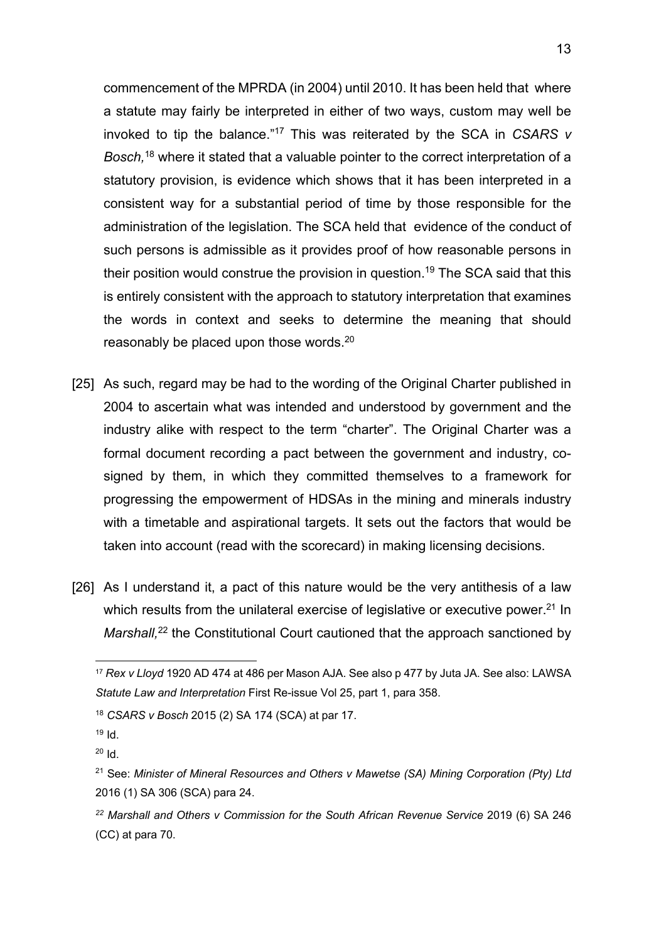commencement of the MPRDA (in 2004) until 2010. It has been held that where a statute may fairly be interpreted in either of two ways, custom may well be invoked to tip the balance."17 This was reiterated by the SCA in *CSARS v Bosch,* <sup>18</sup> where it stated that a valuable pointer to the correct interpretation of a statutory provision, is evidence which shows that it has been interpreted in a consistent way for a substantial period of time by those responsible for the administration of the legislation. The SCA held that evidence of the conduct of such persons is admissible as it provides proof of how reasonable persons in their position would construe the provision in question.<sup>19</sup> The SCA said that this is entirely consistent with the approach to statutory interpretation that examines the words in context and seeks to determine the meaning that should reasonably be placed upon those words.<sup>20</sup>

- [25] As such, regard may be had to the wording of the Original Charter published in 2004 to ascertain what was intended and understood by government and the industry alike with respect to the term "charter". The Original Charter was a formal document recording a pact between the government and industry, cosigned by them, in which they committed themselves to a framework for progressing the empowerment of HDSAs in the mining and minerals industry with a timetable and aspirational targets. It sets out the factors that would be taken into account (read with the scorecard) in making licensing decisions.
- [26] As I understand it, a pact of this nature would be the very antithesis of a law which results from the unilateral exercise of legislative or executive power.<sup>21</sup> In Marshall,<sup>22</sup> the Constitutional Court cautioned that the approach sanctioned by

<sup>17</sup> *Rex v Lloyd* 1920 AD 474 at 486 per Mason AJA. See also p 477 by Juta JA. See also: LAWSA *Statute Law and Interpretation* First Re-issue Vol 25, part 1, para 358.

<sup>18</sup> *CSARS v Bosch* 2015 (2) SA 174 (SCA) at par 17.

 $19$  Id.

 $20$  Id.

<sup>21</sup> See: *Minister of Mineral Resources and Others v Mawetse (SA) Mining Corporation (Pty) Ltd*  2016 (1) SA 306 (SCA) para 24.

*<sup>22</sup> Marshall and Others v Commission for the South African Revenue Service* 2019 (6) SA 246 (CC) at para 70.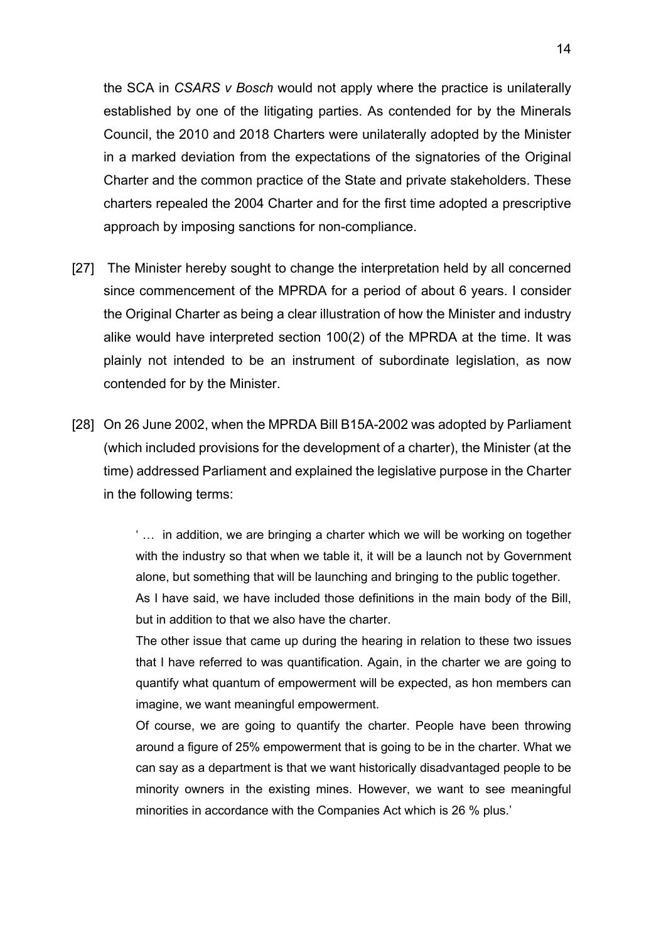the SCA in *CSARS v Bosch* would not apply where the practice is unilaterally established by one of the litigating parties. As contended for by the Minerals Council, the 2010 and 2018 Charters were unilaterally adopted by the Minister in a marked deviation from the expectations of the signatories of the Original Charter and the common practice of the State and private stakeholders. These charters repealed the 2004 Charter and for the first time adopted a prescriptive approach by imposing sanctions for non-compliance.

- [27] The Minister hereby sought to change the interpretation held by all concerned since commencement of the MPRDA for a period of about 6 years. I consider the Original Charter as being a clear illustration of how the Minister and industry alike would have interpreted section 100(2) of the MPRDA at the time. It was plainly not intended to be an instrument of subordinate legislation, as now contended for by the Minister.
- [28] On 26 June 2002, when the MPRDA Bill B15A-2002 was adopted by Parliament (which included provisions for the development of a charter), the Minister (at the time) addressed Parliament and explained the legislative purpose in the Charter in the following terms:

' … in addition, we are bringing a charter which we will be working on together with the industry so that when we table it, it will be a launch not by Government alone, but something that will be launching and bringing to the public together.

As I have said, we have included those definitions in the main body of the Bill, but in addition to that we also have the charter.

The other issue that came up during the hearing in relation to these two issues that I have referred to was quantification. Again, in the charter we are going to quantify what quantum of empowerment will be expected, as hon members can imagine, we want meaningful empowerment.

Of course, we are going to quantify the charter. People have been throwing around a figure of 25% empowerment that is going to be in the charter. What we can say as a department is that we want historically disadvantaged people to be minority owners in the existing mines. However, we want to see meaningful minorities in accordance with the Companies Act which is 26 % plus.'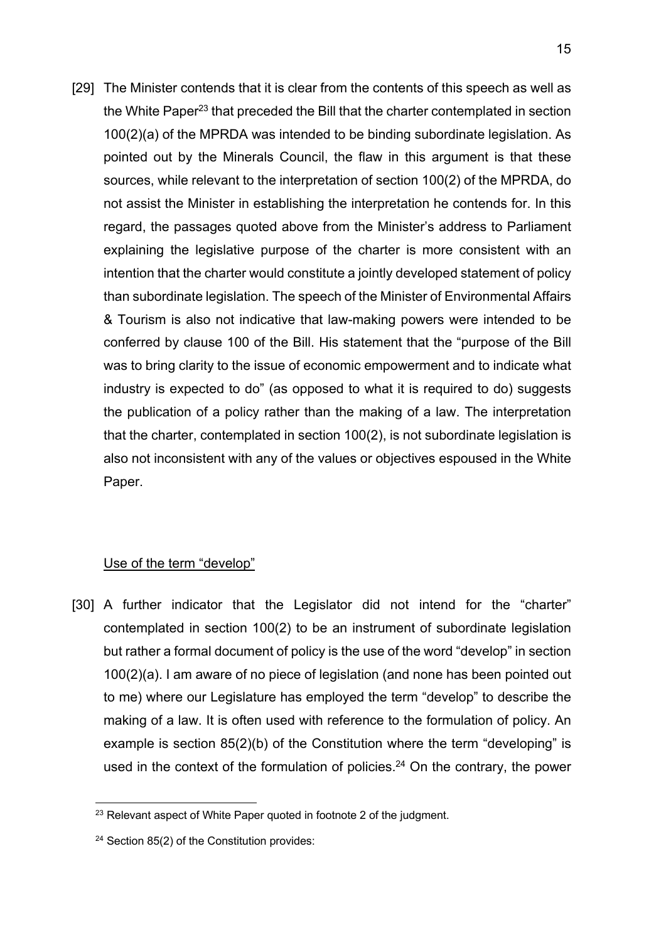[29] The Minister contends that it is clear from the contents of this speech as well as the White Paper<sup>23</sup> that preceded the Bill that the charter contemplated in section 100(2)(a) of the MPRDA was intended to be binding subordinate legislation. As pointed out by the Minerals Council, the flaw in this argument is that these sources, while relevant to the interpretation of section 100(2) of the MPRDA, do not assist the Minister in establishing the interpretation he contends for. In this regard, the passages quoted above from the Minister's address to Parliament explaining the legislative purpose of the charter is more consistent with an intention that the charter would constitute a jointly developed statement of policy than subordinate legislation. The speech of the Minister of Environmental Affairs & Tourism is also not indicative that law-making powers were intended to be conferred by clause 100 of the Bill. His statement that the "purpose of the Bill was to bring clarity to the issue of economic empowerment and to indicate what industry is expected to do" (as opposed to what it is required to do) suggests the publication of a policy rather than the making of a law. The interpretation that the charter, contemplated in section 100(2), is not subordinate legislation is also not inconsistent with any of the values or objectives espoused in the White Paper.

### Use of the term "develop"

[30] A further indicator that the Legislator did not intend for the "charter" contemplated in section 100(2) to be an instrument of subordinate legislation but rather a formal document of policy is the use of the word "develop" in section 100(2)(a). I am aware of no piece of legislation (and none has been pointed out to me) where our Legislature has employed the term "develop" to describe the making of a law. It is often used with reference to the formulation of policy. An example is section 85(2)(b) of the Constitution where the term "developing" is used in the context of the formulation of policies.<sup>24</sup> On the contrary, the power

 $23$  Relevant aspect of White Paper quoted in footnote 2 of the judgment.

<sup>24</sup> Section 85(2) of the Constitution provides: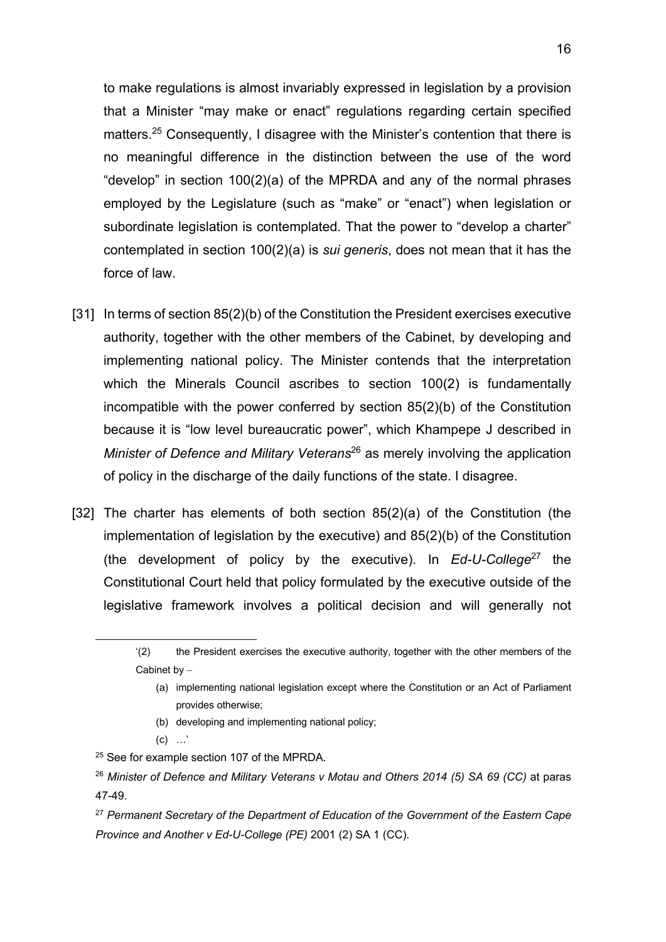to make regulations is almost invariably expressed in legislation by a provision that a Minister "may make or enact" regulations regarding certain specified matters.<sup>25</sup> Consequently, I disagree with the Minister's contention that there is no meaningful difference in the distinction between the use of the word "develop" in section 100(2)(a) of the MPRDA and any of the normal phrases employed by the Legislature (such as "make" or "enact") when legislation or subordinate legislation is contemplated. That the power to "develop a charter" contemplated in section 100(2)(a) is *sui generis*, does not mean that it has the force of law.

- [31] In terms of section 85(2)(b) of the Constitution the President exercises executive authority, together with the other members of the Cabinet, by developing and implementing national policy. The Minister contends that the interpretation which the Minerals Council ascribes to section 100(2) is fundamentally incompatible with the power conferred by section 85(2)(b) of the Constitution because it is "low level bureaucratic power", which Khampepe J described in *Minister of Defence and Military Veterans*<sup>26</sup> as merely involving the application of policy in the discharge of the daily functions of the state. I disagree.
- [32] The charter has elements of both section 85(2)(a) of the Constitution (the implementation of legislation by the executive) and 85(2)(b) of the Constitution (the development of policy by the executive). In *Ed-U-College*<sup>27</sup> the Constitutional Court held that policy formulated by the executive outside of the legislative framework involves a political decision and will generally not

- (b) developing and implementing national policy;
- $(c)$  …'

<sup>&#</sup>x27;(2) the President exercises the executive authority, together with the other members of the Cabinet by  $-$ 

<sup>(</sup>a) implementing national legislation except where the Constitution or an Act of Parliament provides otherwise;

<sup>&</sup>lt;sup>25</sup> See for example section 107 of the MPRDA.

<sup>26</sup> *Minister of Defence and Military Veterans v Motau and Others 2014 (5) SA 69 (CC)* at paras 47-49.

<sup>27</sup> *Permanent Secretary of the Department of Education of the Government of the Eastern Cape Province and Another v Ed-U-College (PE)* 2001 (2) SA 1 (CC).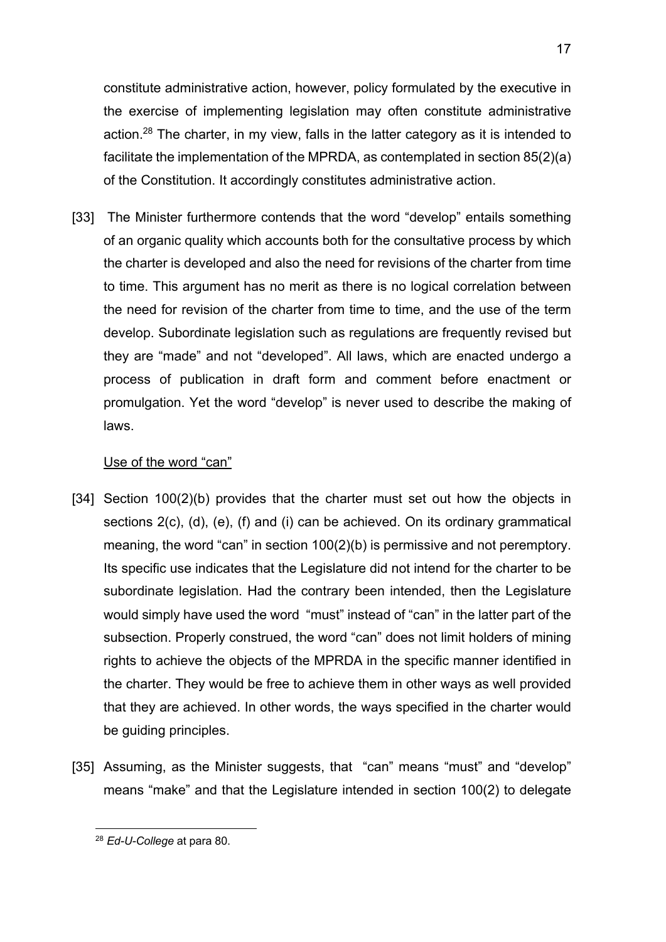constitute administrative action, however, policy formulated by the executive in the exercise of implementing legislation may often constitute administrative action.<sup>28</sup> The charter, in my view, falls in the latter category as it is intended to facilitate the implementation of the MPRDA, as contemplated in section 85(2)(a) of the Constitution. It accordingly constitutes administrative action.

[33] The Minister furthermore contends that the word "develop" entails something of an organic quality which accounts both for the consultative process by which the charter is developed and also the need for revisions of the charter from time to time. This argument has no merit as there is no logical correlation between the need for revision of the charter from time to time, and the use of the term develop. Subordinate legislation such as regulations are frequently revised but they are "made" and not "developed". All laws, which are enacted undergo a process of publication in draft form and comment before enactment or promulgation. Yet the word "develop" is never used to describe the making of laws.

### Use of the word "can"

- [34] Section 100(2)(b) provides that the charter must set out how the objects in sections 2(c), (d), (e), (f) and (i) can be achieved. On its ordinary grammatical meaning, the word "can" in section 100(2)(b) is permissive and not peremptory. Its specific use indicates that the Legislature did not intend for the charter to be subordinate legislation. Had the contrary been intended, then the Legislature would simply have used the word "must" instead of "can" in the latter part of the subsection. Properly construed, the word "can" does not limit holders of mining rights to achieve the objects of the MPRDA in the specific manner identified in the charter. They would be free to achieve them in other ways as well provided that they are achieved. In other words, the ways specified in the charter would be guiding principles.
- [35] Assuming, as the Minister suggests, that "can" means "must" and "develop" means "make" and that the Legislature intended in section 100(2) to delegate

<sup>28</sup> *Ed-U-College* at para 80.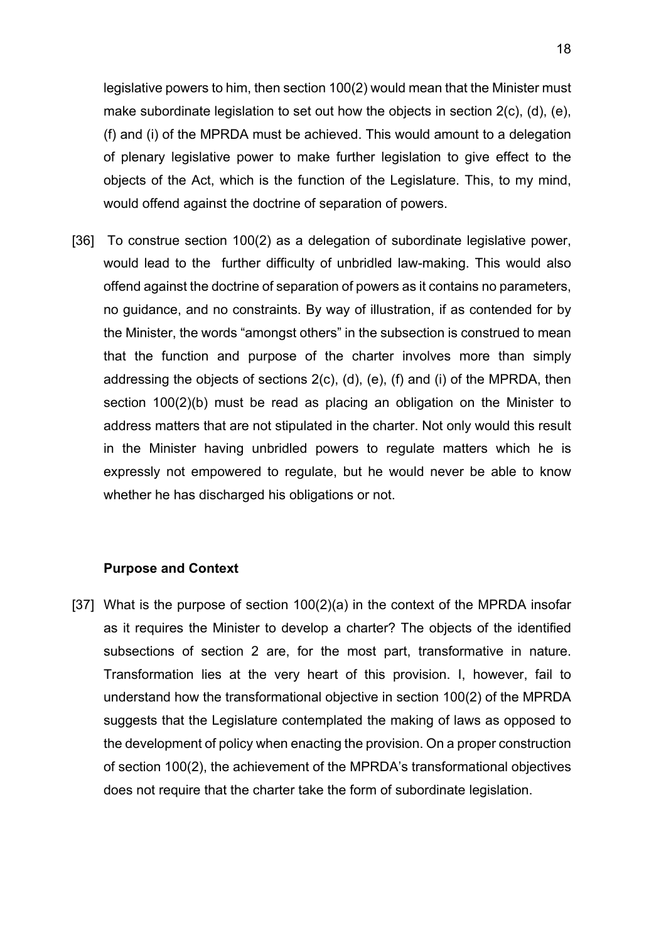legislative powers to him, then section 100(2) would mean that the Minister must make subordinate legislation to set out how the objects in section 2(c), (d), (e), (f) and (i) of the MPRDA must be achieved. This would amount to a delegation of plenary legislative power to make further legislation to give effect to the objects of the Act, which is the function of the Legislature. This, to my mind, would offend against the doctrine of separation of powers.

[36] To construe section 100(2) as a delegation of subordinate legislative power, would lead to the further difficulty of unbridled law-making. This would also offend against the doctrine of separation of powers as it contains no parameters, no guidance, and no constraints. By way of illustration, if as contended for by the Minister, the words "amongst others" in the subsection is construed to mean that the function and purpose of the charter involves more than simply addressing the objects of sections 2(c), (d), (e), (f) and (i) of the MPRDA, then section 100(2)(b) must be read as placing an obligation on the Minister to address matters that are not stipulated in the charter. Not only would this result in the Minister having unbridled powers to regulate matters which he is expressly not empowered to regulate, but he would never be able to know whether he has discharged his obligations or not.

#### **Purpose and Context**

[37] What is the purpose of section 100(2)(a) in the context of the MPRDA insofar as it requires the Minister to develop a charter? The objects of the identified subsections of section 2 are, for the most part, transformative in nature. Transformation lies at the very heart of this provision. I, however, fail to understand how the transformational objective in section 100(2) of the MPRDA suggests that the Legislature contemplated the making of laws as opposed to the development of policy when enacting the provision. On a proper construction of section 100(2), the achievement of the MPRDA's transformational objectives does not require that the charter take the form of subordinate legislation.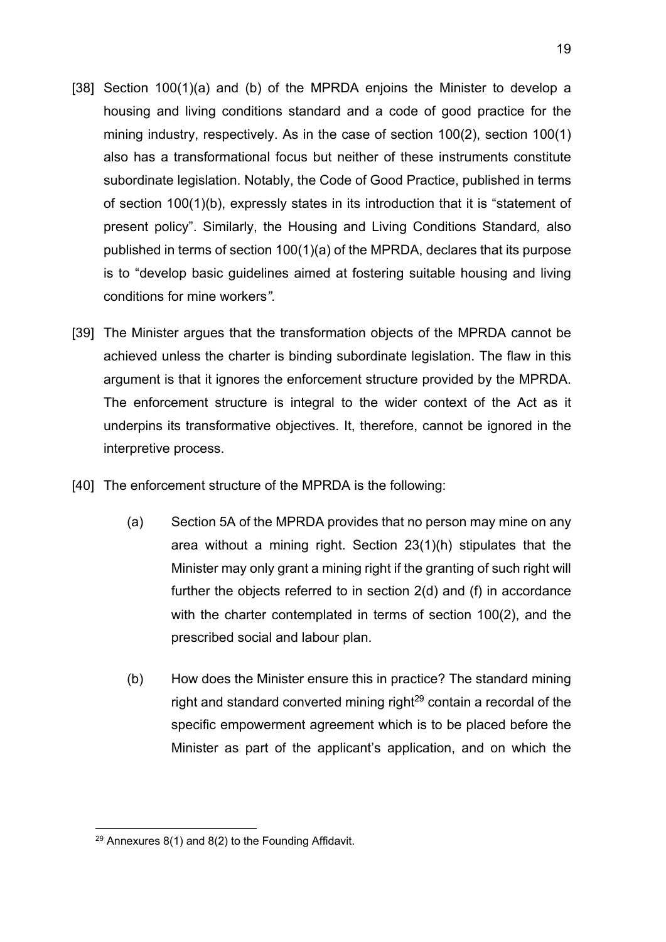- [38] Section 100(1)(a) and (b) of the MPRDA enjoins the Minister to develop a housing and living conditions standard and a code of good practice for the mining industry, respectively. As in the case of section 100(2), section 100(1) also has a transformational focus but neither of these instruments constitute subordinate legislation. Notably, the Code of Good Practice, published in terms of section 100(1)(b), expressly states in its introduction that it is "statement of present policy". Similarly, the Housing and Living Conditions Standard*,* also published in terms of section 100(1)(a) of the MPRDA, declares that its purpose is to "develop basic guidelines aimed at fostering suitable housing and living conditions for mine workers*"*.
- [39] The Minister argues that the transformation objects of the MPRDA cannot be achieved unless the charter is binding subordinate legislation. The flaw in this argument is that it ignores the enforcement structure provided by the MPRDA. The enforcement structure is integral to the wider context of the Act as it underpins its transformative objectives. It, therefore, cannot be ignored in the interpretive process.
- [40] The enforcement structure of the MPRDA is the following:
	- (a) Section 5A of the MPRDA provides that no person may mine on any area without a mining right. Section 23(1)(h) stipulates that the Minister may only grant a mining right if the granting of such right will further the objects referred to in section 2(d) and (f) in accordance with the charter contemplated in terms of section 100(2), and the prescribed social and labour plan.
	- (b) How does the Minister ensure this in practice? The standard mining right and standard converted mining right $29$  contain a recordal of the specific empowerment agreement which is to be placed before the Minister as part of the applicant's application, and on which the

 $29$  Annexures 8(1) and 8(2) to the Founding Affidavit.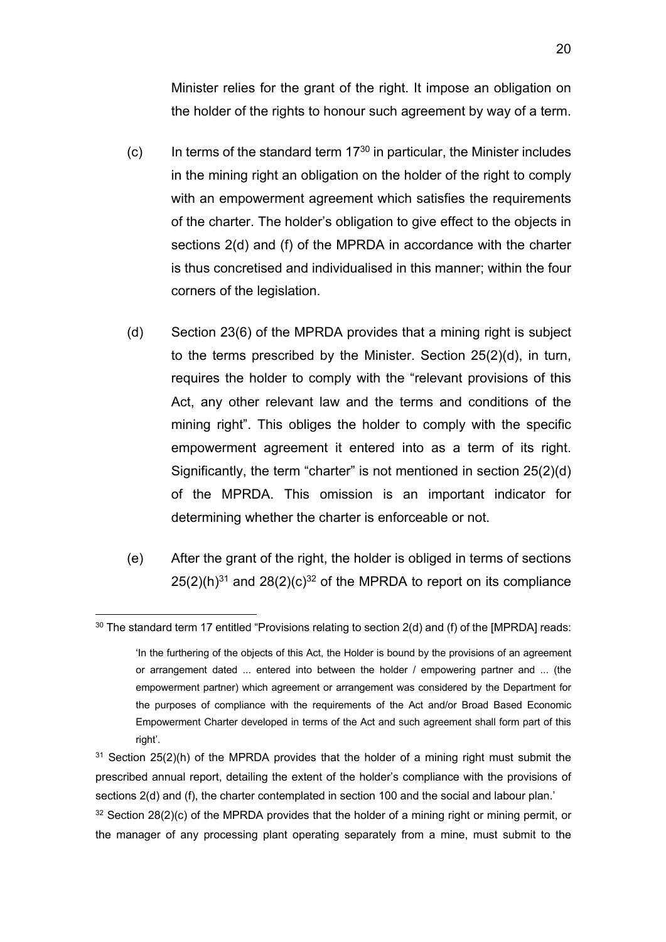Minister relies for the grant of the right. It impose an obligation on the holder of the rights to honour such agreement by way of a term.

- $(c)$  In terms of the standard term 17 $30$  in particular, the Minister includes in the mining right an obligation on the holder of the right to comply with an empowerment agreement which satisfies the requirements of the charter. The holder's obligation to give effect to the objects in sections 2(d) and (f) of the MPRDA in accordance with the charter is thus concretised and individualised in this manner; within the four corners of the legislation.
- (d) Section 23(6) of the MPRDA provides that a mining right is subject to the terms prescribed by the Minister. Section 25(2)(d), in turn, requires the holder to comply with the "relevant provisions of this Act, any other relevant law and the terms and conditions of the mining right". This obliges the holder to comply with the specific empowerment agreement it entered into as a term of its right. Significantly, the term "charter" is not mentioned in section 25(2)(d) of the MPRDA. This omission is an important indicator for determining whether the charter is enforceable or not.
- (e) After the grant of the right, the holder is obliged in terms of sections  $25(2)(h)^{31}$  and  $28(2)(c)^{32}$  of the MPRDA to report on its compliance

 $30$  The standard term 17 entitled "Provisions relating to section 2(d) and (f) of the [MPRDA] reads:

<sup>&#</sup>x27;In the furthering of the objects of this Act, the Holder is bound by the provisions of an agreement or arrangement dated ... entered into between the holder / empowering partner and ... (the empowerment partner) which agreement or arrangement was considered by the Department for the purposes of compliance with the requirements of the Act and/or Broad Based Economic Empowerment Charter developed in terms of the Act and such agreement shall form part of this right'.

<sup>&</sup>lt;sup>31</sup> Section 25(2)(h) of the MPRDA provides that the holder of a mining right must submit the prescribed annual report, detailing the extent of the holder's compliance with the provisions of sections 2(d) and (f), the charter contemplated in section 100 and the social and labour plan.'

 $32$  Section 28(2)(c) of the MPRDA provides that the holder of a mining right or mining permit, or the manager of any processing plant operating separately from a mine, must submit to the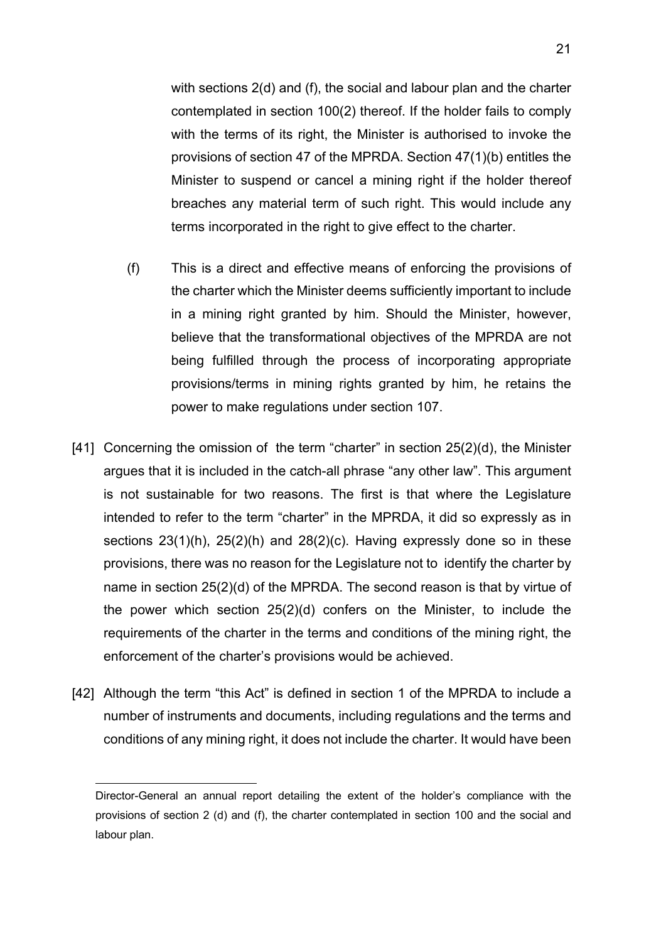with sections 2(d) and (f), the social and labour plan and the charter contemplated in section 100(2) thereof. If the holder fails to comply with the terms of its right, the Minister is authorised to invoke the provisions of section 47 of the MPRDA. Section 47(1)(b) entitles the Minister to suspend or cancel a mining right if the holder thereof breaches any material term of such right. This would include any terms incorporated in the right to give effect to the charter.

- (f) This is a direct and effective means of enforcing the provisions of the charter which the Minister deems sufficiently important to include in a mining right granted by him. Should the Minister, however, believe that the transformational objectives of the MPRDA are not being fulfilled through the process of incorporating appropriate provisions/terms in mining rights granted by him, he retains the power to make regulations under section 107.
- [41] Concerning the omission of the term "charter" in section 25(2)(d), the Minister argues that it is included in the catch-all phrase "any other law". This argument is not sustainable for two reasons. The first is that where the Legislature intended to refer to the term "charter" in the MPRDA, it did so expressly as in sections 23(1)(h), 25(2)(h) and 28(2)(c). Having expressly done so in these provisions, there was no reason for the Legislature not to identify the charter by name in section 25(2)(d) of the MPRDA. The second reason is that by virtue of the power which section 25(2)(d) confers on the Minister, to include the requirements of the charter in the terms and conditions of the mining right, the enforcement of the charter's provisions would be achieved.
- [42] Although the term "this Act" is defined in section 1 of the MPRDA to include a number of instruments and documents, including regulations and the terms and conditions of any mining right, it does not include the charter. It would have been

Director-General an annual report detailing the extent of the holder's compliance with the provisions of section 2 (d) and (f), the charter contemplated in section 100 and the social and labour plan.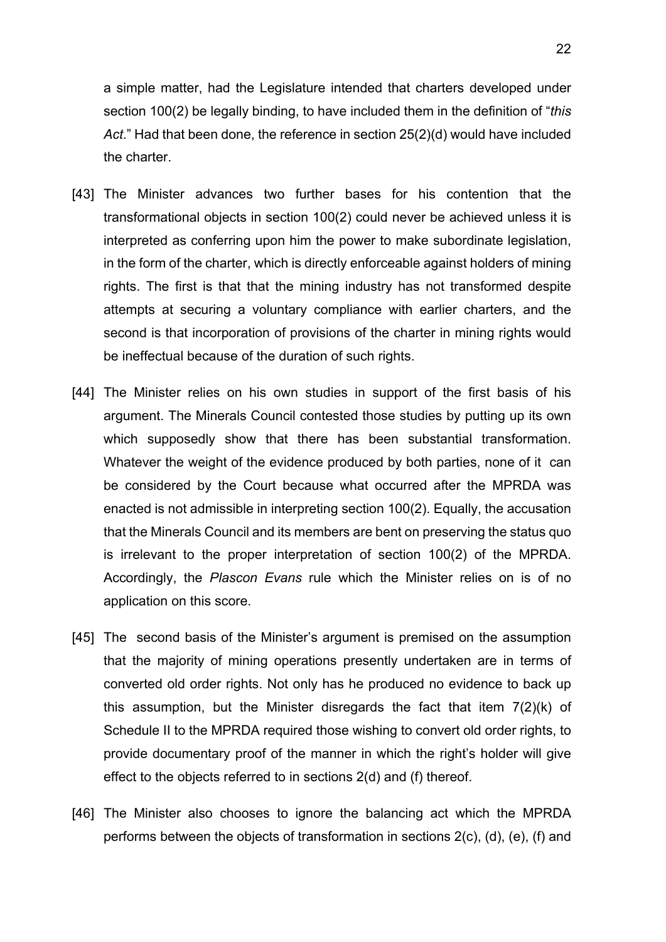a simple matter, had the Legislature intended that charters developed under section 100(2) be legally binding, to have included them in the definition of "*this Act*." Had that been done, the reference in section 25(2)(d) would have included the charter.

- [43] The Minister advances two further bases for his contention that the transformational objects in section 100(2) could never be achieved unless it is interpreted as conferring upon him the power to make subordinate legislation, in the form of the charter, which is directly enforceable against holders of mining rights. The first is that that the mining industry has not transformed despite attempts at securing a voluntary compliance with earlier charters, and the second is that incorporation of provisions of the charter in mining rights would be ineffectual because of the duration of such rights.
- [44] The Minister relies on his own studies in support of the first basis of his argument. The Minerals Council contested those studies by putting up its own which supposedly show that there has been substantial transformation. Whatever the weight of the evidence produced by both parties, none of it can be considered by the Court because what occurred after the MPRDA was enacted is not admissible in interpreting section 100(2). Equally, the accusation that the Minerals Council and its members are bent on preserving the status quo is irrelevant to the proper interpretation of section 100(2) of the MPRDA. Accordingly, the *Plascon Evans* rule which the Minister relies on is of no application on this score.
- [45] The second basis of the Minister's argument is premised on the assumption that the majority of mining operations presently undertaken are in terms of converted old order rights. Not only has he produced no evidence to back up this assumption, but the Minister disregards the fact that item 7(2)(k) of Schedule II to the MPRDA required those wishing to convert old order rights, to provide documentary proof of the manner in which the right's holder will give effect to the objects referred to in sections 2(d) and (f) thereof.
- [46] The Minister also chooses to ignore the balancing act which the MPRDA performs between the objects of transformation in sections 2(c), (d), (e), (f) and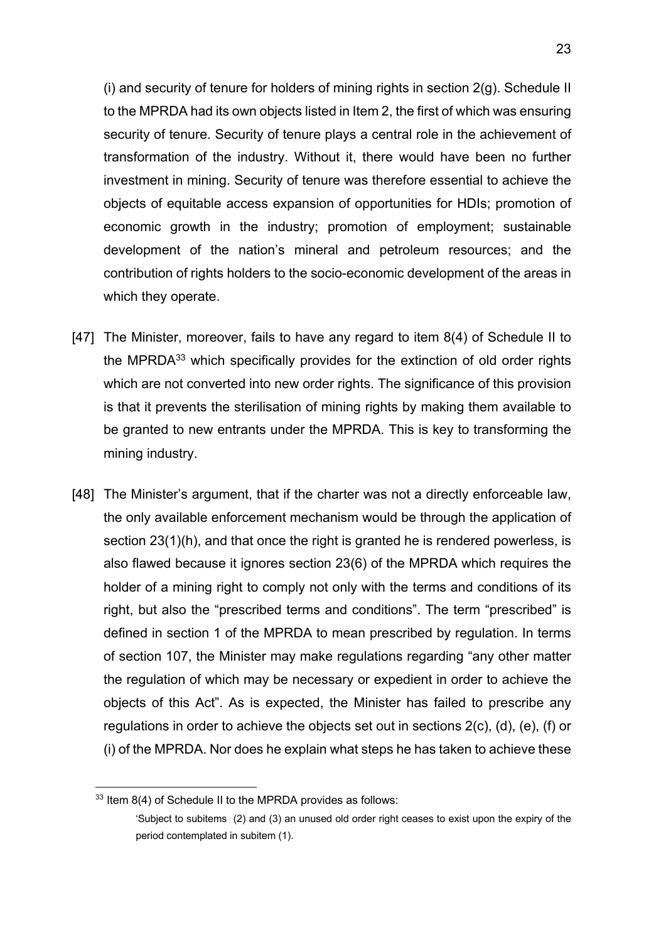(i) and security of tenure for holders of mining rights in section  $2(q)$ . Schedule II to the MPRDA had its own objects listed in Item 2, the first of which was ensuring security of tenure. Security of tenure plays a central role in the achievement of transformation of the industry. Without it, there would have been no further investment in mining. Security of tenure was therefore essential to achieve the objects of equitable access expansion of opportunities for HDIs; promotion of economic growth in the industry; promotion of employment; sustainable development of the nation's mineral and petroleum resources; and the contribution of rights holders to the socio-economic development of the areas in which they operate.

- [47] The Minister, moreover, fails to have any regard to item 8(4) of Schedule II to the MPRDA33 which specifically provides for the extinction of old order rights which are not converted into new order rights. The significance of this provision is that it prevents the sterilisation of mining rights by making them available to be granted to new entrants under the MPRDA. This is key to transforming the mining industry.
- [48] The Minister's argument, that if the charter was not a directly enforceable law, the only available enforcement mechanism would be through the application of section 23(1)(h), and that once the right is granted he is rendered powerless, is also flawed because it ignores section 23(6) of the MPRDA which requires the holder of a mining right to comply not only with the terms and conditions of its right, but also the "prescribed terms and conditions". The term "prescribed" is defined in section 1 of the MPRDA to mean prescribed by regulation. In terms of section 107, the Minister may make regulations regarding "any other matter the regulation of which may be necessary or expedient in order to achieve the objects of this Act". As is expected, the Minister has failed to prescribe any regulations in order to achieve the objects set out in sections 2(c), (d), (e), (f) or (i) of the MPRDA. Nor does he explain what steps he has taken to achieve these

<sup>33</sup> Item 8(4) of Schedule II to the MPRDA provides as follows:

<sup>&#</sup>x27;Subject to subitems (2) and (3) an unused old order right ceases to exist upon the expiry of the period contemplated in subitem (1).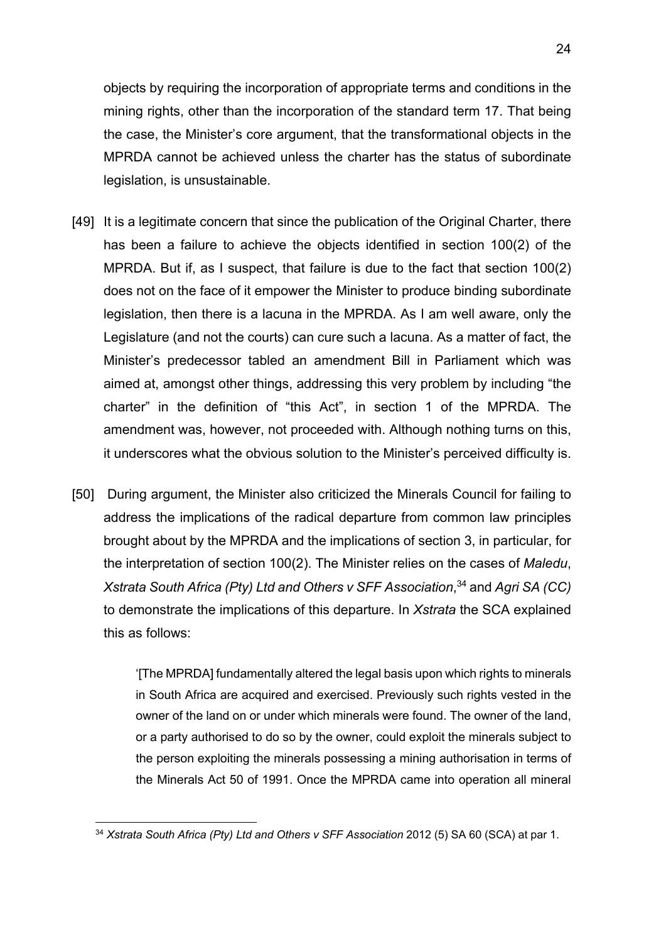objects by requiring the incorporation of appropriate terms and conditions in the mining rights, other than the incorporation of the standard term 17. That being the case, the Minister's core argument, that the transformational objects in the MPRDA cannot be achieved unless the charter has the status of subordinate legislation, is unsustainable.

- [49] It is a legitimate concern that since the publication of the Original Charter, there has been a failure to achieve the objects identified in section 100(2) of the MPRDA. But if, as I suspect, that failure is due to the fact that section 100(2) does not on the face of it empower the Minister to produce binding subordinate legislation, then there is a lacuna in the MPRDA. As I am well aware, only the Legislature (and not the courts) can cure such a lacuna. As a matter of fact, the Minister's predecessor tabled an amendment Bill in Parliament which was aimed at, amongst other things, addressing this very problem by including "the charter" in the definition of "this Act", in section 1 of the MPRDA. The amendment was, however, not proceeded with. Although nothing turns on this, it underscores what the obvious solution to the Minister's perceived difficulty is.
- [50] During argument, the Minister also criticized the Minerals Council for failing to address the implications of the radical departure from common law principles brought about by the MPRDA and the implications of section 3, in particular, for the interpretation of section 100(2). The Minister relies on the cases of *Maledu*, *Xstrata South Africa (Pty) Ltd and Others v SFF Association*, <sup>34</sup> and *Agri SA (CC)*  to demonstrate the implications of this departure. In *Xstrata* the SCA explained this as follows:

'[The MPRDA] fundamentally altered the legal basis upon which rights to minerals in South Africa are acquired and exercised. Previously such rights vested in the owner of the land on or under which minerals were found. The owner of the land, or a party authorised to do so by the owner, could exploit the minerals subject to the person exploiting the minerals possessing a mining authorisation in terms of the Minerals Act 50 of 1991. Once the MPRDA came into operation all mineral

<sup>&</sup>lt;sup>34</sup> *Xstrata South Africa (Pty) Ltd and Others v SFF Association 2012 (5) SA 60 (SCA) at par 1.*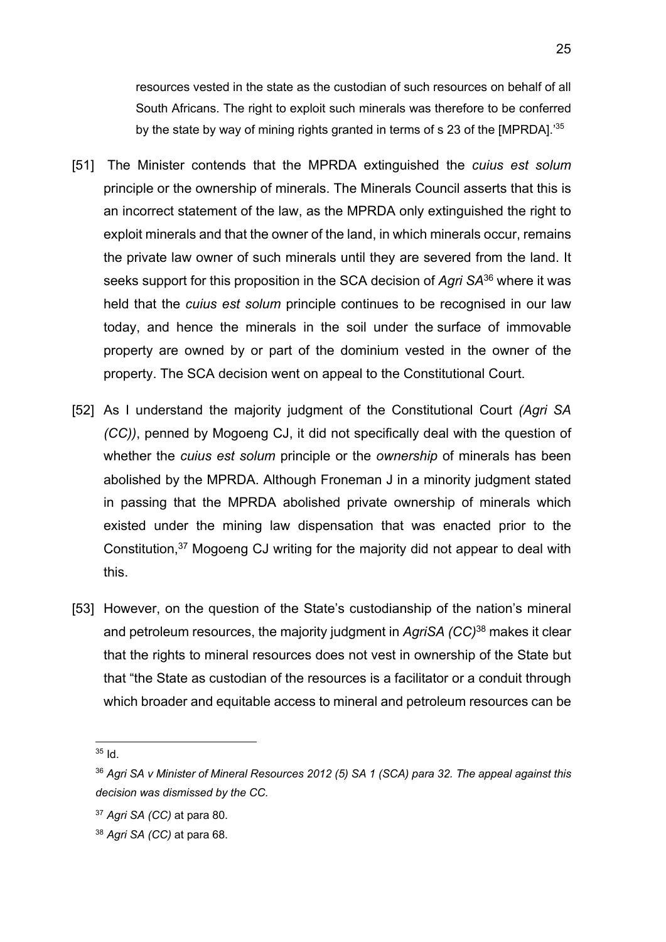resources vested in the state as the custodian of such resources on behalf of all South Africans. The right to exploit such minerals was therefore to be conferred by the state by way of mining rights granted in terms of s 23 of the [MPRDA].'35

- [51] The Minister contends that the MPRDA extinguished the *cuius est solum* principle or the ownership of minerals. The Minerals Council asserts that this is an incorrect statement of the law, as the MPRDA only extinguished the right to exploit minerals and that the owner of the land, in which minerals occur, remains the private law owner of such minerals until they are severed from the land. It seeks support for this proposition in the SCA decision of *Agri SA*<sup>36</sup> where it was held that the *cuius est solum* principle continues to be recognised in our law today, and hence the minerals in the soil under the surface of immovable property are owned by or part of the dominium vested in the owner of the property. The SCA decision went on appeal to the Constitutional Court.
- [52] As I understand the majority judgment of the Constitutional Court *(Agri SA (CC))*, penned by Mogoeng CJ, it did not specifically deal with the question of whether the *cuius est solum* principle or the *ownership* of minerals has been abolished by the MPRDA. Although Froneman J in a minority judgment stated in passing that the MPRDA abolished private ownership of minerals which existed under the mining law dispensation that was enacted prior to the Constitution,<sup>37</sup> Mogoeng CJ writing for the majority did not appear to deal with this.
- [53] However, on the question of the State's custodianship of the nation's mineral and petroleum resources, the majority judgment in *AgriSA (CC)*<sup>38</sup> makes it clear that the rights to mineral resources does not vest in ownership of the State but that "the State as custodian of the resources is a facilitator or a conduit through which broader and equitable access to mineral and petroleum resources can be

 $35$  Id.

<sup>36</sup> *Agri SA v Minister of Mineral Resources 2012 (5) SA 1 (SCA) para 32. The appeal against this decision was dismissed by the CC.*

<sup>37</sup> *Agri SA (CC)* at para 80.

<sup>38</sup> *Agri SA (CC)* at para 68.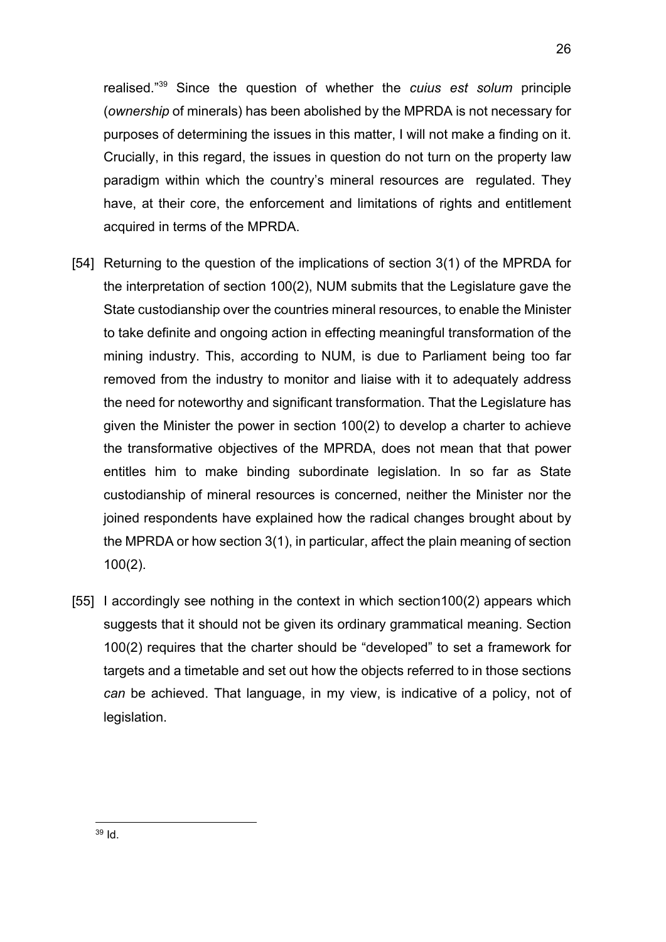realised."39 Since the question of whether the *cuius est solum* principle (*ownership* of minerals) has been abolished by the MPRDA is not necessary for purposes of determining the issues in this matter, I will not make a finding on it. Crucially, in this regard, the issues in question do not turn on the property law paradigm within which the country's mineral resources are regulated. They have, at their core, the enforcement and limitations of rights and entitlement acquired in terms of the MPRDA.

- [54] Returning to the question of the implications of section 3(1) of the MPRDA for the interpretation of section 100(2), NUM submits that the Legislature gave the State custodianship over the countries mineral resources, to enable the Minister to take definite and ongoing action in effecting meaningful transformation of the mining industry. This, according to NUM, is due to Parliament being too far removed from the industry to monitor and liaise with it to adequately address the need for noteworthy and significant transformation. That the Legislature has given the Minister the power in section 100(2) to develop a charter to achieve the transformative objectives of the MPRDA, does not mean that that power entitles him to make binding subordinate legislation. In so far as State custodianship of mineral resources is concerned, neither the Minister nor the joined respondents have explained how the radical changes brought about by the MPRDA or how section 3(1), in particular, affect the plain meaning of section 100(2).
- [55] I accordingly see nothing in the context in which section100(2) appears which suggests that it should not be given its ordinary grammatical meaning. Section 100(2) requires that the charter should be "developed" to set a framework for targets and a timetable and set out how the objects referred to in those sections *can* be achieved. That language, in my view, is indicative of a policy, not of legislation.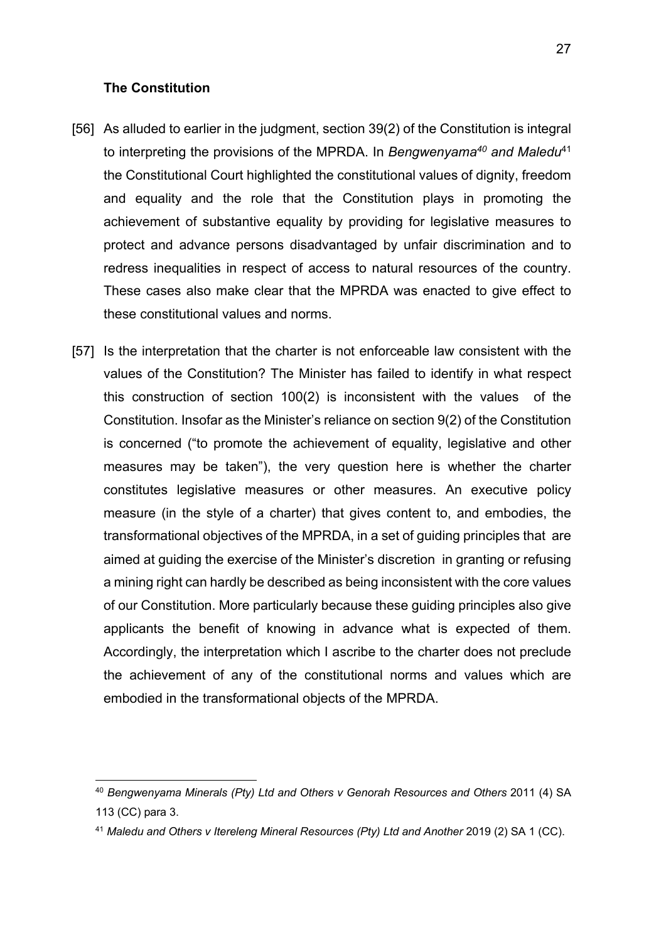#### **The Constitution**

- [56] As alluded to earlier in the judgment, section 39(2) of the Constitution is integral to interpreting the provisions of the MPRDA. In *Bengwenyama40 and Maledu*<sup>41</sup> the Constitutional Court highlighted the constitutional values of dignity, freedom and equality and the role that the Constitution plays in promoting the achievement of substantive equality by providing for legislative measures to protect and advance persons disadvantaged by unfair discrimination and to redress inequalities in respect of access to natural resources of the country. These cases also make clear that the MPRDA was enacted to give effect to these constitutional values and norms.
- [57] Is the interpretation that the charter is not enforceable law consistent with the values of the Constitution? The Minister has failed to identify in what respect this construction of section 100(2) is inconsistent with the values of the Constitution. Insofar as the Minister's reliance on section 9(2) of the Constitution is concerned ("to promote the achievement of equality, legislative and other measures may be taken"), the very question here is whether the charter constitutes legislative measures or other measures. An executive policy measure (in the style of a charter) that gives content to, and embodies, the transformational objectives of the MPRDA, in a set of guiding principles that are aimed at guiding the exercise of the Minister's discretion in granting or refusing a mining right can hardly be described as being inconsistent with the core values of our Constitution. More particularly because these guiding principles also give applicants the benefit of knowing in advance what is expected of them. Accordingly, the interpretation which I ascribe to the charter does not preclude the achievement of any of the constitutional norms and values which are embodied in the transformational objects of the MPRDA.

<sup>40</sup> *Bengwenyama Minerals (Pty) Ltd and Others v Genorah Resources and Others* 2011 (4) SA 113 (CC) para 3.

<sup>41</sup> *Maledu and Others v Itereleng Mineral Resources (Pty) Ltd and Another* 2019 (2) SA 1 (CC).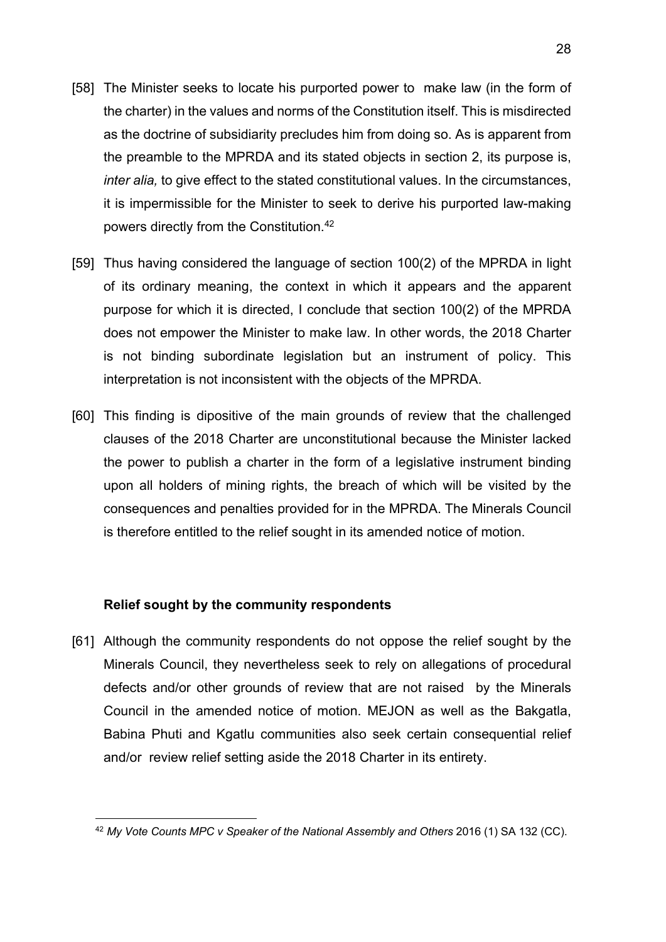- [58] The Minister seeks to locate his purported power to make law (in the form of the charter) in the values and norms of the Constitution itself. This is misdirected as the doctrine of subsidiarity precludes him from doing so. As is apparent from the preamble to the MPRDA and its stated objects in section 2, its purpose is, *inter alia,* to give effect to the stated constitutional values. In the circumstances, it is impermissible for the Minister to seek to derive his purported law-making powers directly from the Constitution.42
- [59] Thus having considered the language of section 100(2) of the MPRDA in light of its ordinary meaning, the context in which it appears and the apparent purpose for which it is directed, I conclude that section 100(2) of the MPRDA does not empower the Minister to make law. In other words, the 2018 Charter is not binding subordinate legislation but an instrument of policy. This interpretation is not inconsistent with the objects of the MPRDA.
- [60] This finding is dipositive of the main grounds of review that the challenged clauses of the 2018 Charter are unconstitutional because the Minister lacked the power to publish a charter in the form of a legislative instrument binding upon all holders of mining rights, the breach of which will be visited by the consequences and penalties provided for in the MPRDA. The Minerals Council is therefore entitled to the relief sought in its amended notice of motion.

#### **Relief sought by the community respondents**

[61] Although the community respondents do not oppose the relief sought by the Minerals Council, they nevertheless seek to rely on allegations of procedural defects and/or other grounds of review that are not raised by the Minerals Council in the amended notice of motion. MEJON as well as the Bakgatla, Babina Phuti and Kgatlu communities also seek certain consequential relief and/or review relief setting aside the 2018 Charter in its entirety.

<sup>42</sup> *My Vote Counts MPC v Speaker of the National Assembly and Others* 2016 (1) SA 132 (CC).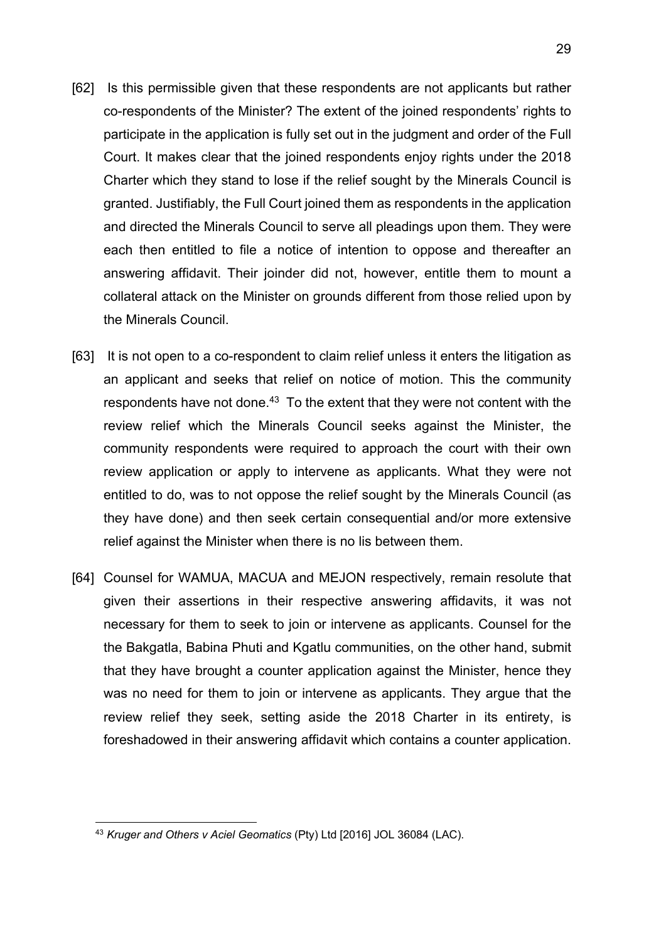- [62] Is this permissible given that these respondents are not applicants but rather co-respondents of the Minister? The extent of the joined respondents' rights to participate in the application is fully set out in the judgment and order of the Full Court. It makes clear that the joined respondents enjoy rights under the 2018 Charter which they stand to lose if the relief sought by the Minerals Council is granted. Justifiably, the Full Court joined them as respondents in the application and directed the Minerals Council to serve all pleadings upon them. They were each then entitled to file a notice of intention to oppose and thereafter an answering affidavit. Their joinder did not, however, entitle them to mount a collateral attack on the Minister on grounds different from those relied upon by the Minerals Council.
- [63] It is not open to a co-respondent to claim relief unless it enters the litigation as an applicant and seeks that relief on notice of motion. This the community respondents have not done.<sup>43</sup> To the extent that they were not content with the review relief which the Minerals Council seeks against the Minister, the community respondents were required to approach the court with their own review application or apply to intervene as applicants. What they were not entitled to do, was to not oppose the relief sought by the Minerals Council (as they have done) and then seek certain consequential and/or more extensive relief against the Minister when there is no lis between them.
- [64] Counsel for WAMUA, MACUA and MEJON respectively, remain resolute that given their assertions in their respective answering affidavits, it was not necessary for them to seek to join or intervene as applicants. Counsel for the the Bakgatla, Babina Phuti and Kgatlu communities, on the other hand, submit that they have brought a counter application against the Minister, hence they was no need for them to join or intervene as applicants. They argue that the review relief they seek, setting aside the 2018 Charter in its entirety, is foreshadowed in their answering affidavit which contains a counter application.

<sup>43</sup> *Kruger and Others v Aciel Geomatics* (Pty) Ltd [2016] JOL 36084 (LAC).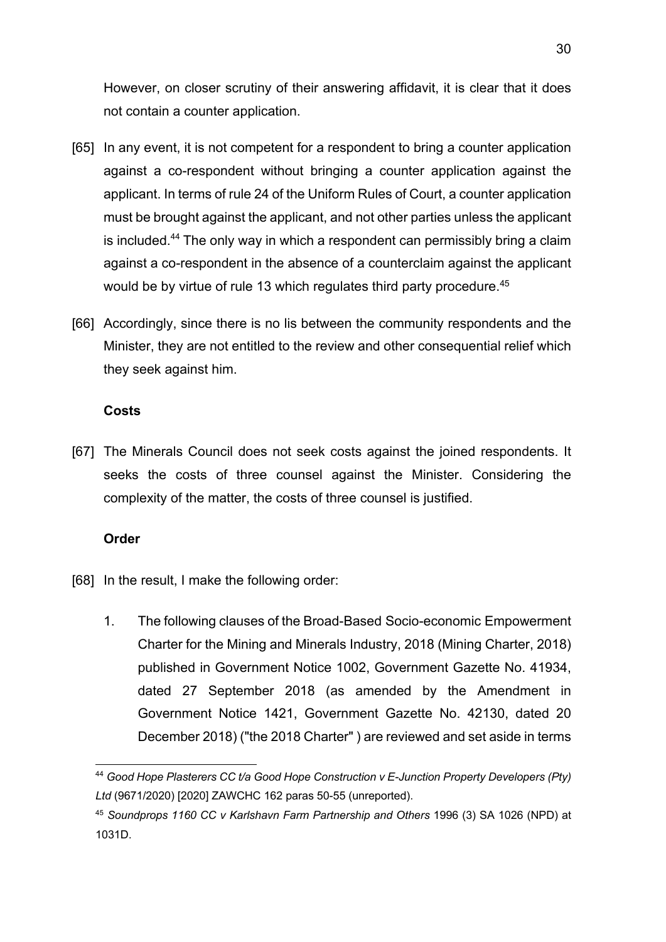However, on closer scrutiny of their answering affidavit, it is clear that it does not contain a counter application.

- [65] In any event, it is not competent for a respondent to bring a counter application against a co-respondent without bringing a counter application against the applicant. In terms of rule 24 of the Uniform Rules of Court, a counter application must be brought against the applicant, and not other parties unless the applicant is included.44 The only way in which a respondent can permissibly bring a claim against a co-respondent in the absence of a counterclaim against the applicant would be by virtue of rule 13 which regulates third party procedure.<sup>45</sup>
- [66] Accordingly, since there is no lis between the community respondents and the Minister, they are not entitled to the review and other consequential relief which they seek against him.

### **Costs**

[67] The Minerals Council does not seek costs against the joined respondents. It seeks the costs of three counsel against the Minister. Considering the complexity of the matter, the costs of three counsel is justified.

# **Order**

- [68] In the result, I make the following order:
	- 1. The following clauses of the Broad-Based Socio-economic Empowerment Charter for the Mining and Minerals Industry, 2018 (Mining Charter, 2018) published in Government Notice 1002, Government Gazette No. 41934, dated 27 September 2018 (as amended by the Amendment in Government Notice 1421, Government Gazette No. 42130, dated 20 December 2018) ("the 2018 Charter" ) are reviewed and set aside in terms

<sup>44</sup> *Good Hope Plasterers CC t/a Good Hope Construction v E-Junction Property Developers (Pty) Ltd* (9671/2020) [2020] ZAWCHC 162 paras 50-55 (unreported).

<sup>45</sup> *Soundprops 1160 CC v Karlshavn Farm Partnership and Others* 1996 (3) SA 1026 (NPD) at 1031D.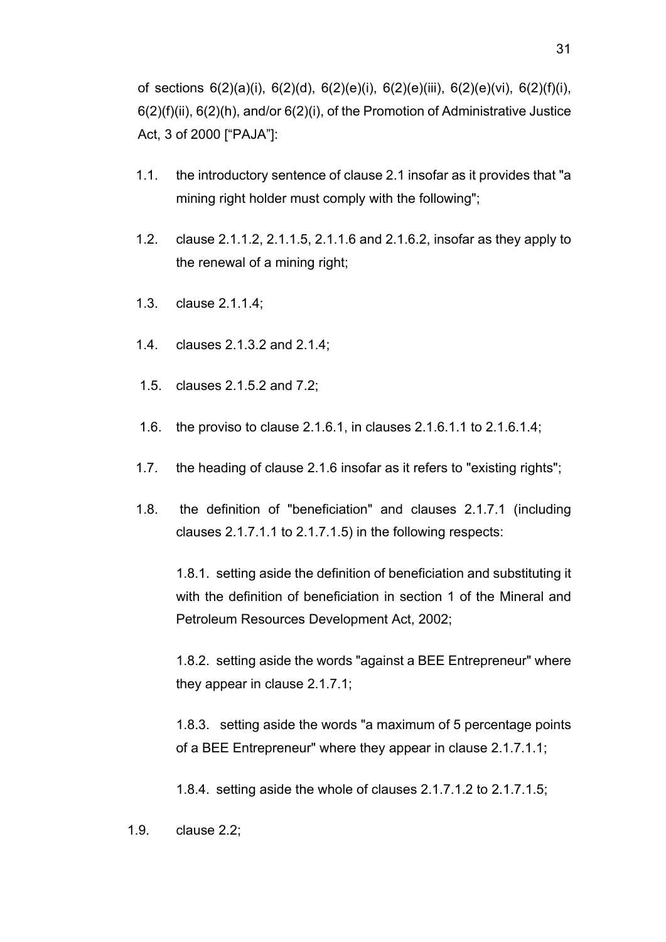of sections 6(2)(a)(i), 6(2)(d), 6(2)(e)(i), 6(2)(e)(iii), 6(2)(e)(vi), 6(2)(f)(i), 6(2)(f)(ii), 6(2)(h), and/or 6(2)(i), of the Promotion of Administrative Justice Act, 3 of 2000 ["PAJA"]:

- 1.1. the introductory sentence of clause 2.1 insofar as it provides that "a mining right holder must comply with the following";
- 1.2. clause 2.1.1.2, 2.1.1.5, 2.1.1.6 and 2.1.6.2, insofar as they apply to the renewal of a mining right;
- 1.3. clause 2.1.1.4;
- 1.4. clauses 2.1.3.2 and 2.1.4;
- 1.5. clauses 2.1.5.2 and 7.2;
- 1.6. the proviso to clause 2.1.6.1, in clauses 2.1.6.1.1 to 2.1.6.1.4;
- 1.7. the heading of clause 2.1.6 insofar as it refers to "existing rights";
- 1.8. the definition of "beneficiation" and clauses 2.1.7.1 (including clauses 2.1.7.1.1 to 2.1.7.1.5) in the following respects:

1.8.1. setting aside the definition of beneficiation and substituting it with the definition of beneficiation in section 1 of the Mineral and Petroleum Resources Development Act, 2002;

1.8.2. setting aside the words "against a BEE Entrepreneur" where they appear in clause 2.1.7.1;

1.8.3. setting aside the words "a maximum of 5 percentage points of a BEE Entrepreneur" where they appear in clause 2.1.7.1.1;

1.8.4. setting aside the whole of clauses 2.1.7.1.2 to 2.1.7.1.5;

1.9. clause 2.2;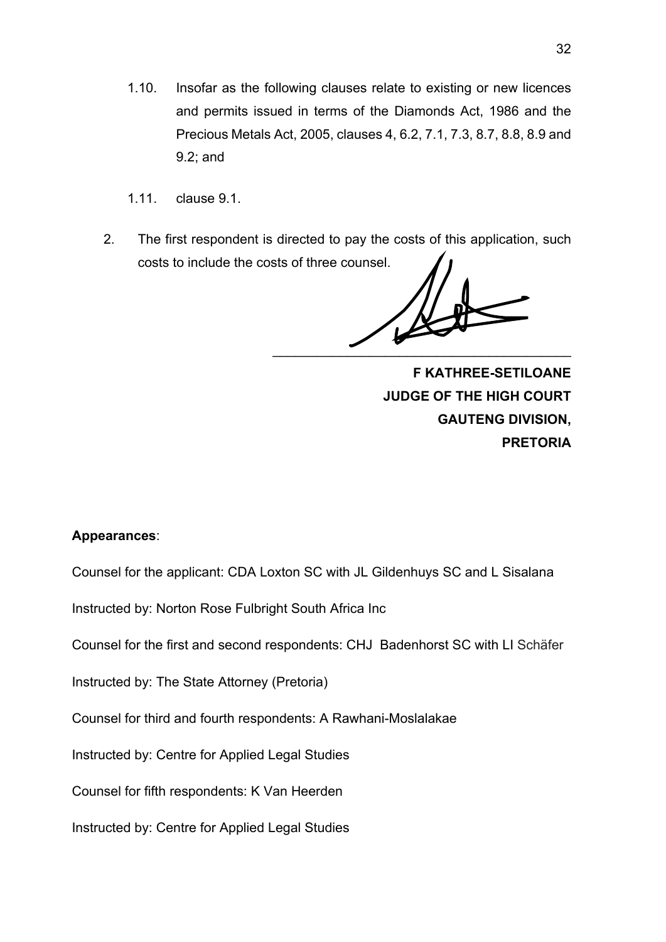- 1.10. Insofar as the following clauses relate to existing or new licences and permits issued in terms of the Diamonds Act, 1986 and the Precious Metals Act, 2005, clauses 4, 6.2, 7.1, 7.3, 8.7, 8.8, 8.9 and 9.2; and
- 1.11. clause 9.1.
- 2. The first respondent is directed to pay the costs of this application, such costs to include the costs of three counsel.

 $\mathcal{L}=\mathcal{L}=\mathcal{L}=\mathcal{L}=\mathcal{L}=\mathcal{L}=\mathcal{L}=\mathcal{L}=\mathcal{L}=\mathcal{L}=\mathcal{L}=\mathcal{L}=\mathcal{L}=\mathcal{L}=\mathcal{L}=\mathcal{L}=\mathcal{L}=\mathcal{L}=\mathcal{L}=\mathcal{L}=\mathcal{L}=\mathcal{L}=\mathcal{L}=\mathcal{L}=\mathcal{L}=\mathcal{L}=\mathcal{L}=\mathcal{L}=\mathcal{L}=\mathcal{L}=\mathcal{L}=\mathcal{L}=\mathcal{L}=\mathcal{L}=\mathcal{L}=\mathcal{L}=\mathcal{$ 

 **F KATHREE-SETILOANE JUDGE OF THE HIGH COURT GAUTENG DIVISION, PRETORIA**

### **Appearances**:

Counsel for the applicant: CDA Loxton SC with JL Gildenhuys SC and L Sisalana

Instructed by: Norton Rose Fulbright South Africa Inc

Counsel for the first and second respondents: CHJ Badenhorst SC with LI Schäfer

Instructed by: The State Attorney (Pretoria)

Counsel for third and fourth respondents: A Rawhani-Moslalakae

Instructed by: Centre for Applied Legal Studies

Counsel for fifth respondents: K Van Heerden

Instructed by: Centre for Applied Legal Studies